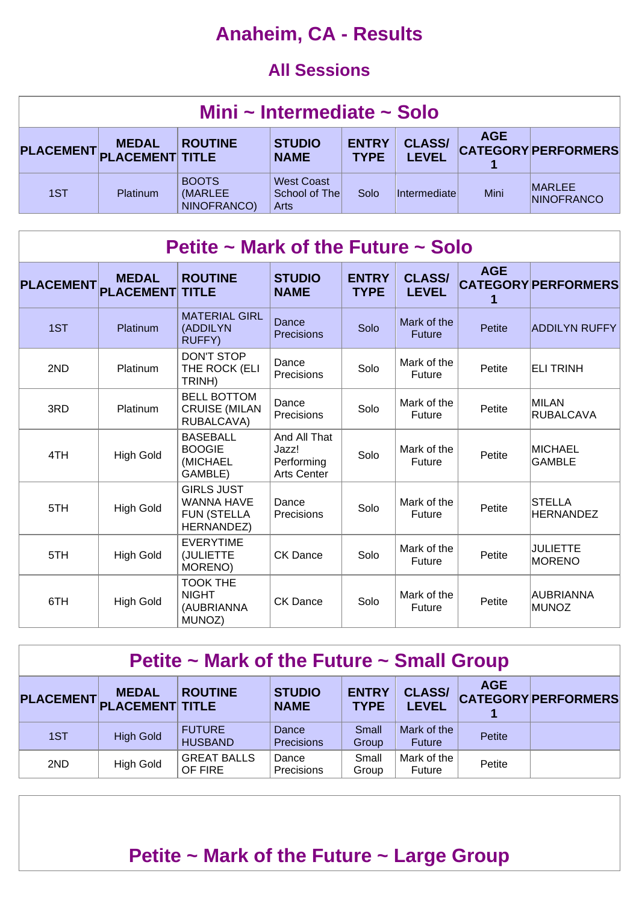## **Anaheim, CA - Results**

#### **All Sessions**

| Mini ~ Intermediate ~ Solo |                 |                                        |                                            |                             |                               |            |                                    |  |  |
|----------------------------|-----------------|----------------------------------------|--------------------------------------------|-----------------------------|-------------------------------|------------|------------------------------------|--|--|
| PLACEMENT PLACEMENT TITLE  | <b>MEDAL</b>    | <b>ROUTINE</b>                         | <b>STUDIO</b><br><b>NAME</b>               | <b>ENTRY</b><br><b>TYPE</b> | <b>CLASS/</b><br><b>LEVEL</b> | <b>AGE</b> | <b>CATEGORY PERFORMERS</b>         |  |  |
| 1ST                        | <b>Platinum</b> | <b>BOOTS</b><br>(MARLEE<br>NINOFRANCO) | <b>West Coast</b><br>School of The<br>Arts | Solo                        | Intermediatel                 | Mini       | <b>MARLEE</b><br><b>NINOFRANCO</b> |  |  |

| Petite ~ Mark of the Future ~ Solo |                                  |                                                                            |                                                           |                             |                               |            |                                   |  |  |  |
|------------------------------------|----------------------------------|----------------------------------------------------------------------------|-----------------------------------------------------------|-----------------------------|-------------------------------|------------|-----------------------------------|--|--|--|
| <b>PLACEMENT</b>                   | <b>MEDAL</b><br><b>PLACEMENT</b> | <b>ROUTINE</b><br><b>TITLE</b>                                             | <b>STUDIO</b><br><b>NAME</b>                              | <b>ENTRY</b><br><b>TYPE</b> | <b>CLASS/</b><br><b>LEVEL</b> | <b>AGE</b> | <b>CATEGORY PERFORMERS</b>        |  |  |  |
| 1ST                                | Platinum                         | <b>MATERIAL GIRL</b><br>(ADDILYN<br><b>RUFFY)</b>                          | Dance<br><b>Precisions</b>                                | Solo                        | Mark of the<br><b>Future</b>  | Petite     | <b>ADDILYN RUFFY</b>              |  |  |  |
| 2ND                                | <b>Platinum</b>                  | <b>DON'T STOP</b><br>THE ROCK (ELI<br>TRINH)                               | Dance<br>Precisions                                       | Solo                        | Mark of the<br>Future         | Petite     | <b>ELI TRINH</b>                  |  |  |  |
| 3RD                                | Platinum                         | <b>BELL BOTTOM</b><br><b>CRUISE (MILAN</b><br>RUBALCAVA)                   | Dance<br><b>Precisions</b>                                | Solo                        | Mark of the<br>Future         | Petite     | MILAN<br><b>RUBALCAVA</b>         |  |  |  |
| 4TH                                | <b>High Gold</b>                 | <b>BASEBALL</b><br><b>BOOGIE</b><br>(MICHAEL<br>GAMBLE)                    | And All That<br>Jazz!<br>Performing<br><b>Arts Center</b> | Solo                        | Mark of the<br><b>Future</b>  | Petite     | <b>MICHAEL</b><br>GAMBLE          |  |  |  |
| 5TH                                | <b>High Gold</b>                 | <b>GIRLS JUST</b><br><b>WANNA HAVE</b><br><b>FUN (STELLA</b><br>HERNANDEZ) | Dance<br>Precisions                                       | Solo                        | Mark of the<br>Future         | Petite     | <b>STELLA</b><br><b>HERNANDEZ</b> |  |  |  |
| 5TH                                | <b>High Gold</b>                 | <b>EVERYTIME</b><br>(JULIETTE<br>MORENO)                                   | <b>CK Dance</b>                                           | Solo                        | Mark of the<br>Future         | Petite     | <b>JULIETTE</b><br><b>MORENO</b>  |  |  |  |
| 6TH                                | <b>High Gold</b>                 | <b>TOOK THE</b><br><b>NIGHT</b><br>(AUBRIANNA<br>MUNOZ)                    | <b>CK Dance</b>                                           | Solo                        | Mark of the<br>Future         | Petite     | AUBRIANNA<br><b>MUNOZ</b>         |  |  |  |

#### **Petite ~ Mark of the Future ~ Small Group**

|     | <b>MEDAL</b><br>PLACEMENT PLACEMENT TITLE | <b>ROUTINE</b>                  | <b>STUDIO</b><br><b>NAME</b> | <b>ENTRY</b><br><b>TYPE</b> | <b>CLASS/</b><br><b>LEVEL</b> | <b>AGE</b> | <b>CATEGORY PERFORMERS</b> |
|-----|-------------------------------------------|---------------------------------|------------------------------|-----------------------------|-------------------------------|------------|----------------------------|
| 1ST | <b>High Gold</b>                          | <b>FUTURE</b><br><b>HUSBAND</b> | Dance<br><b>Precisions</b>   | Small<br>Group              | Mark of the<br><b>Future</b>  | Petite     |                            |
| 2ND | <b>High Gold</b>                          | <b>GREAT BALLS</b><br>OF FIRE   | Dance<br>Precisions          | Small<br>Group              | Mark of the<br><b>Future</b>  | Petite     |                            |

### **Petite ~ Mark of the Future ~ Large Group**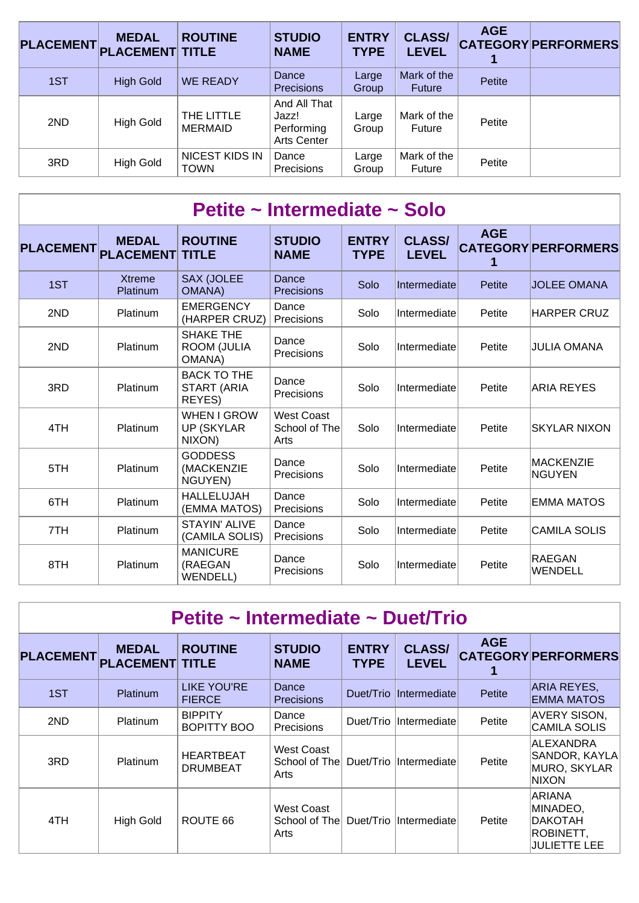| PLACEMENT PLACEMENT TITLE | <b>MEDAL</b>     | <b>ROUTINE</b>                | <b>STUDIO</b><br><b>NAME</b>                              | <b>ENTRY</b><br><b>TYPE</b> | <b>CLASS/</b><br><b>LEVEL</b> | <b>AGE</b> | <b>CATEGORY PERFORMERS</b> |
|---------------------------|------------------|-------------------------------|-----------------------------------------------------------|-----------------------------|-------------------------------|------------|----------------------------|
| 1ST                       | <b>High Gold</b> | <b>WE READY</b>               | Dance<br><b>Precisions</b>                                | Large<br>Group              | Mark of the<br>Future         | Petite     |                            |
| 2ND                       | <b>High Gold</b> | THE LITTLE<br><b>MERMAID</b>  | And All That<br>Jazz!<br>Performing<br><b>Arts Center</b> | Large<br>Group              | Mark of the<br>Future         | Petite     |                            |
| 3RD                       | <b>High Gold</b> | NICEST KIDS IN<br><b>TOWN</b> | Dance<br>Precisions                                       | Large<br>Group              | Mark of the<br>Future         | Petite     |                            |

|                  | Petite ~ Intermediate ~ Solo     |                                                   |                                            |                             |                               |            |                                   |  |  |  |  |  |
|------------------|----------------------------------|---------------------------------------------------|--------------------------------------------|-----------------------------|-------------------------------|------------|-----------------------------------|--|--|--|--|--|
| <b>PLACEMENT</b> | <b>MEDAL</b><br><b>PLACEMENT</b> | <b>ROUTINE</b><br><b>TITLE</b>                    | <b>STUDIO</b><br><b>NAME</b>               | <b>ENTRY</b><br><b>TYPE</b> | <b>CLASS/</b><br><b>LEVEL</b> | <b>AGE</b> | <b>CATEGORY PERFORMERS</b>        |  |  |  |  |  |
| 1ST              | <b>Xtreme</b><br>Platinum        | <b>SAX (JOLEE</b><br><b>OMANA</b> )               | Dance<br>Precisions                        | Solo                        | Intermediate                  | Petite     | <b>JOLEE OMANA</b>                |  |  |  |  |  |
| 2ND              | <b>Platinum</b>                  | <b>EMERGENCY</b><br>(HARPER CRUZ)                 | Dance<br>Precisions                        | Solo                        | Intermediate                  | Petite     | <b>HARPER CRUZ</b>                |  |  |  |  |  |
| 2ND              | Platinum                         | SHAKE THE<br><b>ROOM (JULIA</b><br><b>OMANA</b> ) | Dance<br>Precisions                        | Solo                        | Intermediate                  | Petite     | <b>JULIA OMANA</b>                |  |  |  |  |  |
| 3RD              | Platinum                         | <b>BACK TO THE</b><br>START (ARIA<br>REYES)       | Dance<br>Precisions                        | Solo                        | Intermediate                  | Petite     | <b>ARIA REYES</b>                 |  |  |  |  |  |
| 4TH              | Platinum                         | <b>WHEN I GROW</b><br><b>UP (SKYLAR</b><br>NIXON) | <b>West Coast</b><br>School of The<br>Arts | Solo                        | Intermediate                  | Petite     | <b>SKYLAR NIXON</b>               |  |  |  |  |  |
| 5TH              | <b>Platinum</b>                  | <b>GODDESS</b><br>(MACKENZIE<br>NGUYEN)           | Dance<br>Precisions                        | Solo                        | Intermediate                  | Petite     | <b>MACKENZIE</b><br><b>NGUYEN</b> |  |  |  |  |  |
| 6TH              | Platinum                         | <b>HALLELUJAH</b><br>(EMMA MATOS)                 | Dance<br>Precisions                        | Solo                        | Intermediate                  | Petite     | <b>EMMA MATOS</b>                 |  |  |  |  |  |
| 7TH              | <b>Platinum</b>                  | <b>STAYIN' ALIVE</b><br>(CAMILA SOLIS)            | Dance<br>Precisions                        | Solo                        | Intermediate                  | Petite     | <b>CAMILA SOLIS</b>               |  |  |  |  |  |
| 8TH              | Platinum                         | <b>MANICURE</b><br>(RAEGAN<br><b>WENDELL)</b>     | Dance<br>Precisions                        | Solo                        | Intermediate                  | Petite     | <b>RAEGAN</b><br>WENDELL          |  |  |  |  |  |

| Petite ~ Intermediate ~ Duet/Trio |                                        |                                     |                                     |                             |                               |            |                                                                          |  |  |  |
|-----------------------------------|----------------------------------------|-------------------------------------|-------------------------------------|-----------------------------|-------------------------------|------------|--------------------------------------------------------------------------|--|--|--|
| <b>PLACEMENT</b>                  | <b>MEDAL</b><br><b>PLACEMENT TITLE</b> | <b>ROUTINE</b>                      | <b>STUDIO</b><br><b>NAME</b>        | <b>ENTRY</b><br><b>TYPE</b> | <b>CLASS/</b><br><b>LEVEL</b> | <b>AGE</b> | <b>CATEGORY PERFORMERS</b>                                               |  |  |  |
| 1ST                               | <b>Platinum</b>                        | <b>LIKE YOU'RE</b><br><b>FIERCE</b> | Dance<br><b>Precisions</b>          | Duet/Trio                   | <i>Intermediate</i>           | Petite     | ARIA REYES,<br><b>EMMA MATOS</b>                                         |  |  |  |
| 2ND                               | <b>Platinum</b>                        | <b>BIPPITY</b><br>BOPITTY BOO       | Dance<br><b>Precisions</b>          | Duet/Trio                   | Intermediate                  | Petite     | <b>AVERY SISON,</b><br><b>CAMILA SOLIS</b>                               |  |  |  |
| 3RD                               | <b>Platinum</b>                        | <b>HEARTBEAT</b><br><b>DRUMBEAT</b> | West Coast<br>School of The<br>Arts | Duet/Trio                   | Intermediate                  | Petite     | ALEXANDRA<br>SANDOR, KAYLA<br>MURO, SKYLAR<br><b>NIXON</b>               |  |  |  |
| 4TH                               | High Gold                              | ROUTE 66                            | West Coast<br>School of The<br>Arts |                             | Duet/Trio Intermediate        | Petite     | ARIANA<br>MINADEO,<br><b>DAKOTAH</b><br>ROBINETT,<br><b>JULIETTE LEE</b> |  |  |  |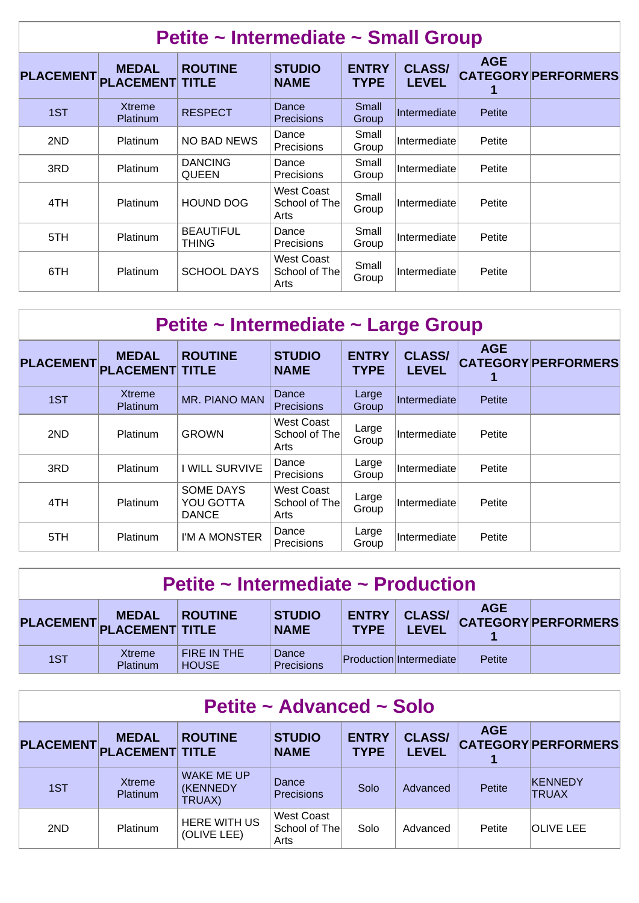| Petite ~ Intermediate ~ Small Group |                                  |                                  |                                     |                             |                               |            |                            |  |  |  |
|-------------------------------------|----------------------------------|----------------------------------|-------------------------------------|-----------------------------|-------------------------------|------------|----------------------------|--|--|--|
| <b>PLACEMENT</b>                    | <b>MEDAL</b><br><b>PLACEMENT</b> | <b>ROUTINE</b><br><b>TITLE</b>   | <b>STUDIO</b><br><b>NAME</b>        | <b>ENTRY</b><br><b>TYPE</b> | <b>CLASS/</b><br><b>LEVEL</b> | <b>AGE</b> | <b>CATEGORY PERFORMERS</b> |  |  |  |
| 1ST                                 | <b>Xtreme</b><br><b>Platinum</b> | <b>RESPECT</b>                   | Dance<br><b>Precisions</b>          | Small<br>Group              | Intermediate                  | Petite     |                            |  |  |  |
| 2ND                                 | <b>Platinum</b>                  | NO BAD NEWS                      | Dance<br><b>Precisions</b>          | Small<br>Group              | Intermediate                  | Petite     |                            |  |  |  |
| 3RD                                 | Platinum                         | <b>DANCING</b><br><b>QUEEN</b>   | Dance<br><b>Precisions</b>          | Small<br>Group              | Intermediate                  | Petite     |                            |  |  |  |
| 4TH                                 | <b>Platinum</b>                  | <b>HOUND DOG</b>                 | West Coast<br>School of The<br>Arts | Small<br>Group              | Intermediate                  | Petite     |                            |  |  |  |
| 5TH                                 | <b>Platinum</b>                  | <b>BEAUTIFUL</b><br><b>THING</b> | Dance<br><b>Precisions</b>          | Small<br>Group              | Intermediate                  | Petite     |                            |  |  |  |
| 6TH                                 | <b>Platinum</b>                  | <b>SCHOOL DAYS</b>               | West Coast<br>School of The<br>Arts | Small<br>Group              | Intermediate                  | Petite     |                            |  |  |  |

| Petite ~ Intermediate ~ Large Group |                                        |                                        |                                     |                             |                               |            |                            |  |  |  |
|-------------------------------------|----------------------------------------|----------------------------------------|-------------------------------------|-----------------------------|-------------------------------|------------|----------------------------|--|--|--|
| <b>PLACEMENT</b>                    | <b>MEDAL</b><br><b>PLACEMENT TITLE</b> | <b>ROUTINE</b>                         | <b>STUDIO</b><br><b>NAME</b>        | <b>ENTRY</b><br><b>TYPE</b> | <b>CLASS/</b><br><b>LEVEL</b> | <b>AGE</b> | <b>CATEGORY PERFORMERS</b> |  |  |  |
| 1ST                                 | <b>Xtreme</b><br><b>Platinum</b>       | MR. PIANO MAN                          | Dance<br><b>Precisions</b>          | Large<br>Group              | Intermediate                  | Petite     |                            |  |  |  |
| 2ND                                 | <b>Platinum</b>                        | <b>GROWN</b>                           | West Coast<br>School of The<br>Arts | Large<br>Group              | Intermediate                  | Petite     |                            |  |  |  |
| 3RD                                 | <b>Platinum</b>                        | I WILL SURVIVE                         | Dance<br><b>Precisions</b>          | Large<br>Group              | Intermediate                  | Petite     |                            |  |  |  |
| 4TH                                 | Platinum                               | SOME DAYS<br>YOU GOTTA<br><b>DANCE</b> | West Coast<br>School of The<br>Arts | Large<br>Group              | Intermediate                  | Petite     |                            |  |  |  |
| 5TH                                 | <b>Platinum</b>                        | I'M A MONSTER                          | Dance<br>Precisions                 | Large<br>Group              | Intermediate                  | Petite     |                            |  |  |  |

| Petite $\sim$ Intermediate $\sim$ Production |                                           |                             |                              |                             |                                |            |                            |  |  |  |
|----------------------------------------------|-------------------------------------------|-----------------------------|------------------------------|-----------------------------|--------------------------------|------------|----------------------------|--|--|--|
|                                              | <b>MEDAL</b><br>PLACEMENT PLACEMENT TITLE | <b>ROUTINE</b>              | <b>STUDIO</b><br><b>NAME</b> | <b>ENTRY</b><br><b>TYPE</b> | <b>CLASS/</b><br><b>LEVEL</b>  | <b>AGE</b> | <b>CATEGORY PERFORMERS</b> |  |  |  |
| 1ST                                          | Xtreme<br><b>Platinum</b>                 | FIRE IN THE<br><b>HOUSE</b> | Dance<br>Precisions          |                             | <b>Production Intermediate</b> | Petite     |                            |  |  |  |

| Petite ~ Advanced ~ Solo |                                        |                                                 |                                     |                             |                               |            |                            |  |  |  |
|--------------------------|----------------------------------------|-------------------------------------------------|-------------------------------------|-----------------------------|-------------------------------|------------|----------------------------|--|--|--|
| <b>PLACEMENT</b>         | <b>MEDAL</b><br><b>PLACEMENT TITLE</b> | <b>ROUTINE</b>                                  | <b>STUDIO</b><br><b>NAME</b>        | <b>ENTRY</b><br><b>TYPE</b> | <b>CLASS/</b><br><b>LEVEL</b> | <b>AGE</b> | <b>CATEGORY PERFORMERS</b> |  |  |  |
| 1ST                      | <b>Xtreme</b><br><b>Platinum</b>       | <b>WAKE ME UP</b><br><b>(KENNEDY)</b><br>TRUAX) | Dance<br>Precisions                 | Solo                        | Advanced                      | Petite     | KENNEDY<br><b>TRUAX</b>    |  |  |  |
| 2ND                      | Platinum                               | <b>HERE WITH US</b><br>(OLIVE LEE)              | West Coast<br>School of The<br>Arts | Solo                        | Advanced                      | Petite     | <b>OLIVE LEE</b>           |  |  |  |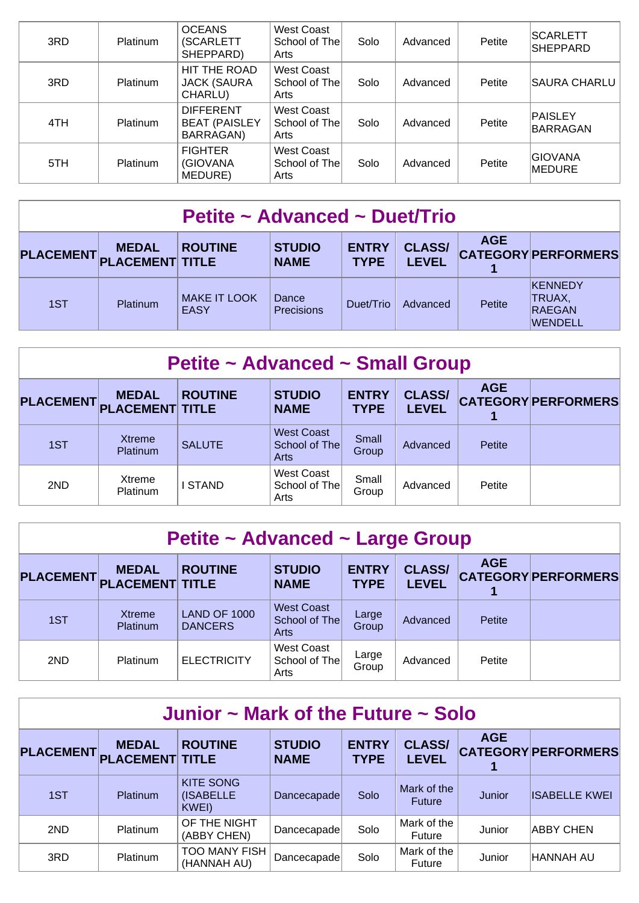| 3RD | <b>Platinum</b> | <b>OCEANS</b><br>(SCARLETT<br>SHEPPARD)               | West Coast<br>School of The<br>Arts        | Solo | Advanced | Petite | <b>SCARLETT</b><br><b>SHEPPARD</b> |
|-----|-----------------|-------------------------------------------------------|--------------------------------------------|------|----------|--------|------------------------------------|
| 3RD | <b>Platinum</b> | HIT THE ROAD<br><b>JACK (SAURA</b><br>CHARLU)         | <b>West Coast</b><br>School of The<br>Arts | Solo | Advanced | Petite | <b>SAURA CHARLU</b>                |
| 4TH | Platinum        | <b>DIFFERENT</b><br><b>BEAT (PAISLEY</b><br>BARRAGAN) | West Coast<br>School of The<br>Arts        | Solo | Advanced | Petite | PAISLEY<br>BARRAGAN                |
| 5TH | Platinum        | <b>FIGHTER</b><br>(GIOVANA<br>MEDURE)                 | West Coast<br>School of The<br>Arts        | Solo | Advanced | Petite | <b>GIOVANA</b><br>MEDURE           |

| Petite ~ Advanced ~ Duet/Trio |                                           |                                    |                              |                             |                               |            |                                               |  |  |
|-------------------------------|-------------------------------------------|------------------------------------|------------------------------|-----------------------------|-------------------------------|------------|-----------------------------------------------|--|--|
|                               | <b>MEDAL</b><br>PLACEMENT PLACEMENT TITLE | <b>ROUTINE</b>                     | <b>STUDIO</b><br><b>NAME</b> | <b>ENTRY</b><br><b>TYPE</b> | <b>CLASS/</b><br><b>LEVEL</b> | <b>AGE</b> | <b>CATEGORY PERFORMERS</b>                    |  |  |
| 1ST                           | <b>Platinum</b>                           | <b>MAKE IT LOOK</b><br><b>EASY</b> | Dance<br>Precisions          | Duet/Trio                   | Advanced                      | Petite     | KENNEDY<br>TRUAX,<br>RAEGAN<br><b>WENDELL</b> |  |  |

| <b>Petite ~ Advanced ~ Small Group</b> |                                        |                |                                            |                             |                               |            |                            |  |  |  |
|----------------------------------------|----------------------------------------|----------------|--------------------------------------------|-----------------------------|-------------------------------|------------|----------------------------|--|--|--|
| <b>PLACEMENT</b>                       | <b>MEDAL</b><br><b>PLACEMENT TITLE</b> | <b>ROUTINE</b> | <b>STUDIO</b><br><b>NAME</b>               | <b>ENTRY</b><br><b>TYPE</b> | <b>CLASS/</b><br><b>LEVEL</b> | <b>AGE</b> | <b>CATEGORY PERFORMERS</b> |  |  |  |
| 1ST                                    | <b>Xtreme</b><br><b>Platinum</b>       | <b>SALUTE</b>  | <b>West Coast</b><br>School of The<br>Arts | Small<br>Group              | Advanced                      | Petite     |                            |  |  |  |
| 2ND                                    | Xtreme<br><b>Platinum</b>              | I STAND        | <b>West Coast</b><br>School of The<br>Arts | Small<br>Group              | Advanced                      | Petite     |                            |  |  |  |

| Petite ~ Advanced ~ Large Group |                                        |                                       |                                            |                             |                               |            |                            |  |  |  |  |
|---------------------------------|----------------------------------------|---------------------------------------|--------------------------------------------|-----------------------------|-------------------------------|------------|----------------------------|--|--|--|--|
| <b>PLACEMENT</b>                | <b>MEDAL</b><br><b>PLACEMENT TITLE</b> | <b>ROUTINE</b>                        | <b>STUDIO</b><br><b>NAME</b>               | <b>ENTRY</b><br><b>TYPE</b> | <b>CLASS/</b><br><b>LEVEL</b> | <b>AGE</b> | <b>CATEGORY PERFORMERS</b> |  |  |  |  |
| 1ST                             | <b>Xtreme</b><br>Platinum              | <b>LAND OF 1000</b><br><b>DANCERS</b> | <b>West Coast</b><br>School of The<br>Arts | Large<br>Group              | Advanced                      | Petite     |                            |  |  |  |  |
| 2ND                             | <b>Platinum</b>                        | <b>ELECTRICITY</b>                    | West Coast<br>School of The<br>Arts        | Large<br>Group              | Advanced                      | Petite     |                            |  |  |  |  |

| Junior $\sim$ Mark of the Future $\sim$ Solo |                                           |                                               |                              |                             |                               |            |                            |  |  |  |
|----------------------------------------------|-------------------------------------------|-----------------------------------------------|------------------------------|-----------------------------|-------------------------------|------------|----------------------------|--|--|--|
|                                              | <b>MEDAL</b><br>PLACEMENT PLACEMENT TITLE | <b>ROUTINE</b>                                | <b>STUDIO</b><br><b>NAME</b> | <b>ENTRY</b><br><b>TYPE</b> | <b>CLASS/</b><br><b>LEVEL</b> | <b>AGE</b> | <b>CATEGORY PERFORMERS</b> |  |  |  |
| 1ST                                          | Platinum                                  | <b>KITE SONG</b><br><b>(ISABELLE</b><br>KWEI) | Dancecapade                  | Solo                        | Mark of the<br><b>Future</b>  | Junior     | <b>IISABELLE KWEI</b>      |  |  |  |
| 2ND                                          | Platinum                                  | OF THE NIGHT<br>(ABBY CHEN)                   | Dancecapade                  | Solo                        | Mark of the<br>Future         | Junior     | <b>ABBY CHEN</b>           |  |  |  |
| 3RD                                          | Platinum                                  | <b>TOO MANY FISH</b><br>(HANNAH AU)           | Dancecapade                  | Solo                        | Mark of the<br>Future         | Junior     | <b>HANNAH AU</b>           |  |  |  |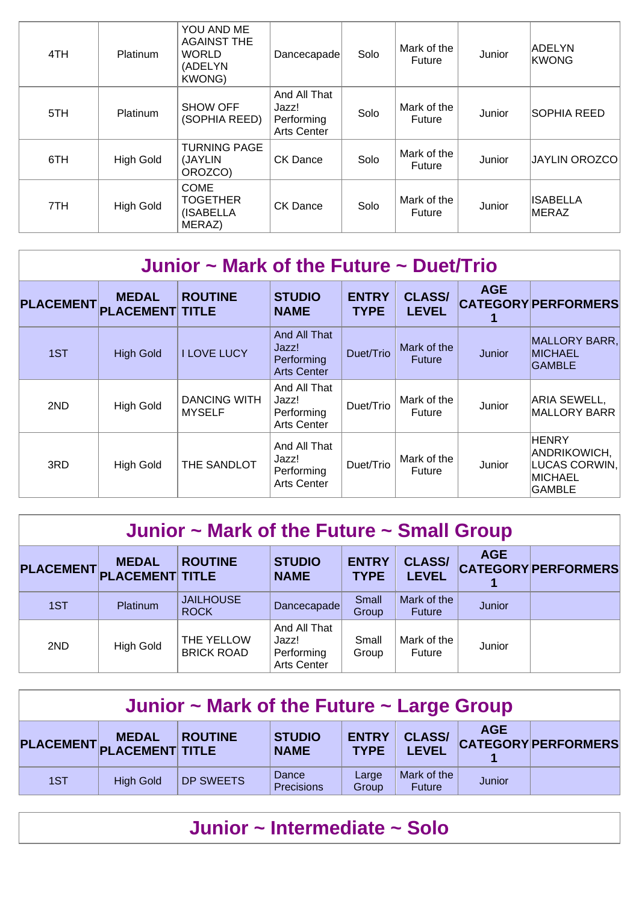| 4TH | <b>Platinum</b>  | YOU AND ME<br><b>AGAINST THE</b><br><b>WORLD</b><br>(ADELYN<br><b>KWONG)</b> | Dancecapade                                               | Solo | Mark of the<br>Future | Junior | ADELYN<br><b>KWONG</b>   |
|-----|------------------|------------------------------------------------------------------------------|-----------------------------------------------------------|------|-----------------------|--------|--------------------------|
| 5TH | Platinum         | <b>SHOW OFF</b><br>(SOPHIA REED)                                             | And All That<br>Jazz!<br>Performing<br><b>Arts Center</b> | Solo | Mark of the<br>Future | Junior | <b>SOPHIA REED</b>       |
| 6TH | <b>High Gold</b> | <b>TURNING PAGE</b><br>(JAYLIN<br>OROZCO)                                    | <b>CK Dance</b>                                           | Solo | Mark of the<br>Future | Junior | <b>JAYLIN OROZCO</b>     |
| 7TH | <b>High Gold</b> | <b>COME</b><br><b>TOGETHER</b><br>(ISABELLA<br>MERAZ)                        | <b>CK Dance</b>                                           | Solo | Mark of the<br>Future | Junior | <b>ISABELLA</b><br>MERAZ |

| Junior $\sim$ Mark of the Future $\sim$ Duet/Trio |                                        |                                      |                                                           |                             |                               |            |                                                                    |  |  |  |
|---------------------------------------------------|----------------------------------------|--------------------------------------|-----------------------------------------------------------|-----------------------------|-------------------------------|------------|--------------------------------------------------------------------|--|--|--|
| <b>PLACEMENT</b>                                  | <b>MEDAL</b><br><b>PLACEMENT TITLE</b> | <b>ROUTINE</b>                       | <b>STUDIO</b><br><b>NAME</b>                              | <b>ENTRY</b><br><b>TYPE</b> | <b>CLASS/</b><br><b>LEVEL</b> | <b>AGE</b> | <b>CATEGORY PERFORMERS</b>                                         |  |  |  |
| 1ST                                               | <b>High Gold</b>                       | <b>I LOVE LUCY</b>                   | And All That<br>Jazz!<br>Performing<br><b>Arts Center</b> | Duet/Trio                   | Mark of the<br><b>Future</b>  | Junior     | MALLORY BARR,<br><b>MICHAEL</b><br><b>GAMBLE</b>                   |  |  |  |
| 2ND                                               | <b>High Gold</b>                       | <b>DANCING WITH</b><br><b>MYSELF</b> | And All That<br>Jazz!<br>Performing<br><b>Arts Center</b> | Duet/Trio                   | Mark of the<br>Future         | Junior     | ARIA SEWELL,<br><b>MALLORY BARR</b>                                |  |  |  |
| 3RD                                               | <b>High Gold</b>                       | THE SANDLOT                          | And All That<br>Jazz!<br>Performing<br><b>Arts Center</b> | Duet/Trio                   | Mark of the<br><b>Future</b>  | Junior     | <b>HENRY</b><br>ANDRIKOWICH,<br>LUCAS CORWIN,<br>MICHAEL<br>GAMBLE |  |  |  |

## **Junior ~ Mark of the Future ~ Small Group**

| <b>PLACEMENT</b> | <b>MEDAL</b><br><b>PLACEMENT TITLE</b> | <b>ROUTINE</b>                  | <b>STUDIO</b><br><b>NAME</b>                              | <b>ENTRY</b><br><b>TYPE</b> | <b>CLASS/</b><br><b>LEVEL</b> | <b>AGE</b> | <b>CATEGORY PERFORMERS</b> |
|------------------|----------------------------------------|---------------------------------|-----------------------------------------------------------|-----------------------------|-------------------------------|------------|----------------------------|
| 1ST              | Platinum                               | <b>JAILHOUSE</b><br><b>ROCK</b> | Dancecapade                                               | Small<br>Group              | Mark of the<br><b>Future</b>  | Junior     |                            |
| 2ND              | <b>High Gold</b>                       | THE YELLOW<br><b>BRICK ROAD</b> | And All That<br>Jazz!<br>Performing<br><b>Arts Center</b> | Small<br>Group              | Mark of the<br><b>Future</b>  | Junior     |                            |

| Junior $\sim$ Mark of the Future $\sim$ Large Group                                                                                                                                                     |                  |                  |                     |                |                              |        |  |  |  |  |
|---------------------------------------------------------------------------------------------------------------------------------------------------------------------------------------------------------|------------------|------------------|---------------------|----------------|------------------------------|--------|--|--|--|--|
| <b>AGE</b><br><b>ENTRY</b><br><b>CLASS/</b><br><b>STUDIO</b><br><b>ROUTINE</b><br><b>MEDAL</b><br><b>CATEGORY PERFORMERS</b><br>PLACEMENT PLACEMENT TITLE<br><b>LEVEL</b><br><b>TYPE</b><br><b>NAME</b> |                  |                  |                     |                |                              |        |  |  |  |  |
| 1ST                                                                                                                                                                                                     | <b>High Gold</b> | <b>DP SWEETS</b> | Dance<br>Precisions | Large<br>Group | Mark of the<br><b>Future</b> | Junior |  |  |  |  |

## **Junior ~ Intermediate ~ Solo**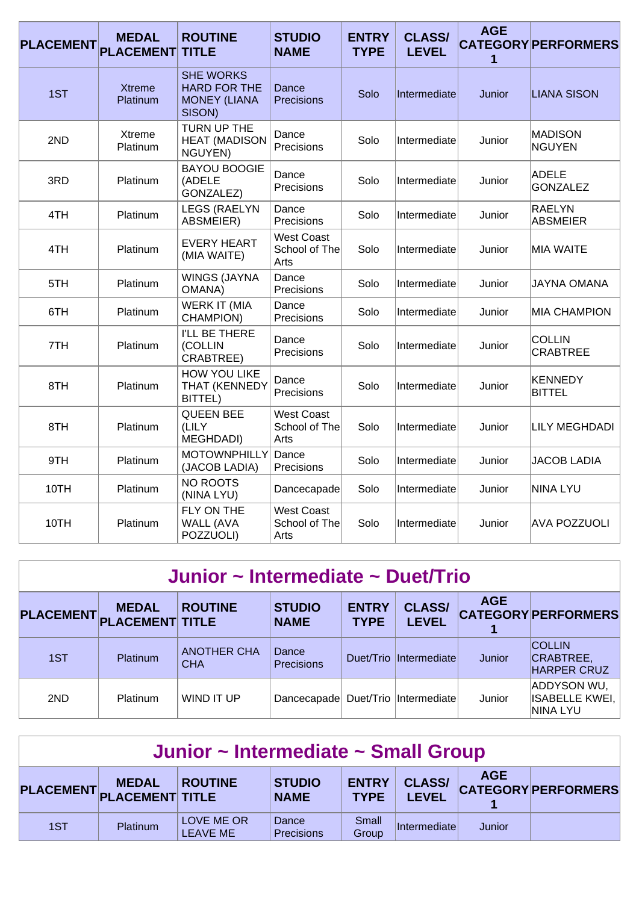| <b>PLACEMENT</b> | <b>MEDAL</b><br><b>PLACEMENT</b> | <b>ROUTINE</b><br><b>TITLE</b>                                           | <b>STUDIO</b><br><b>NAME</b>               | <b>ENTRY</b><br><b>TYPE</b> | <b>CLASS/</b><br><b>LEVEL</b> | <b>AGE</b><br>1 | <b>CATEGORY PERFORMERS</b>       |
|------------------|----------------------------------|--------------------------------------------------------------------------|--------------------------------------------|-----------------------------|-------------------------------|-----------------|----------------------------------|
| 1ST              | <b>Xtreme</b><br>Platinum        | <b>SHE WORKS</b><br><b>HARD FOR THE</b><br><b>MONEY (LIANA</b><br>SISON) | Dance<br>Precisions                        | Solo                        | Intermediate                  | Junior          | <b>LIANA SISON</b>               |
| 2ND              | <b>Xtreme</b><br>Platinum        | TURN UP THE<br><b>HEAT (MADISON</b><br>NGUYEN)                           | Dance<br>Precisions                        | Solo                        | Intermediate                  | Junior          | <b>MADISON</b><br><b>NGUYEN</b>  |
| 3RD              | Platinum                         | <b>BAYOU BOOGIE</b><br>(ADELE<br>GONZALEZ)                               | Dance<br>Precisions                        | Solo                        | Intermediate                  | Junior          | <b>ADELE</b><br><b>GONZALEZ</b>  |
| 4TH              | Platinum                         | <b>LEGS (RAELYN</b><br>ABSMEIER)                                         | Dance<br>Precisions                        | Solo                        | Intermediate                  | Junior          | <b>RAELYN</b><br><b>ABSMEIER</b> |
| 4TH              | Platinum                         | <b>EVERY HEART</b><br>(MIA WAITE)                                        | <b>West Coast</b><br>School of The<br>Arts | Solo                        | Intermediate                  | Junior          | <b>MIA WAITE</b>                 |
| 5TH              | Platinum                         | <b>WINGS (JAYNA</b><br><b>OMANA</b> )                                    | Dance<br>Precisions                        | Solo                        | Intermediate                  | Junior          | <b>JAYNA OMANA</b>               |
| 6TH              | Platinum                         | <b>WERK IT (MIA</b><br>CHAMPION)                                         | Dance<br>Precisions                        | Solo                        | Intermediate                  | Junior          | <b>MIA CHAMPION</b>              |
| 7TH              | Platinum                         | I'LL BE THERE<br>(COLLIN<br>CRABTREE)                                    | Dance<br>Precisions                        | Solo                        | Intermediate                  | Junior          | <b>COLLIN</b><br><b>CRABTREE</b> |
| 8TH              | Platinum                         | <b>HOW YOU LIKE</b><br><b>THAT (KENNEDY</b><br>BITTEL)                   | Dance<br>Precisions                        | Solo                        | Intermediate                  | Junior          | <b>KENNEDY</b><br><b>BITTEL</b>  |
| 8TH              | Platinum                         | <b>QUEEN BEE</b><br>(LILY<br>MEGHDADI)                                   | <b>West Coast</b><br>School of The<br>Arts | Solo                        | Intermediate                  | Junior          | <b>LILY MEGHDADI</b>             |
| 9TH              | Platinum                         | <b>MOTOWNPHILLY</b><br>(JACOB LADIA)                                     | Dance<br>Precisions                        | Solo                        | Intermediate                  | Junior          | <b>JACOB LADIA</b>               |
| 10TH             | Platinum                         | <b>NO ROOTS</b><br>(NINA LYU)                                            | Dancecapade                                | Solo                        | Intermediate                  | Junior          | <b>NINA LYU</b>                  |
| 10TH             | Platinum                         | FLY ON THE<br><b>WALL (AVA</b><br>POZZUOLI)                              | <b>West Coast</b><br>School of The<br>Arts | Solo                        | Intermediate                  | Junior          | <b>AVA POZZUOLI</b>              |

| Junior ~ Intermediate ~ Duet/Trio |                                           |                                  |                              |                             |                               |            |                                                  |  |  |  |  |
|-----------------------------------|-------------------------------------------|----------------------------------|------------------------------|-----------------------------|-------------------------------|------------|--------------------------------------------------|--|--|--|--|
|                                   | <b>MEDAL</b><br>PLACEMENT PLACEMENT TITLE | <b>ROUTINE</b>                   | <b>STUDIO</b><br><b>NAME</b> | <b>ENTRY</b><br><b>TYPE</b> | <b>CLASS/</b><br><b>LEVEL</b> | <b>AGE</b> | <b>CATEGORY PERFORMERS</b>                       |  |  |  |  |
| 1ST                               | <b>Platinum</b>                           | <b>ANOTHER CHA</b><br><b>CHA</b> | Dance<br><b>Precisions</b>   |                             | Duet/Trio Intermediate        | Junior     | <b>COLLIN</b><br>CRABTREE,<br><b>HARPER CRUZ</b> |  |  |  |  |
| 2ND                               | <b>Platinum</b>                           | WIND IT UP                       | Dancecapade                  |                             | Duet/Trio   Intermediate      | Junior     | ADDYSON WU,<br><b>ISABELLE KWEI,</b><br>NINA LYU |  |  |  |  |

| Junior ~ Intermediate ~ Small Group                                                                                                                                                                     |          |                               |                     |                |              |        |  |  |  |
|---------------------------------------------------------------------------------------------------------------------------------------------------------------------------------------------------------|----------|-------------------------------|---------------------|----------------|--------------|--------|--|--|--|
| <b>AGE</b><br><b>CLASS/</b><br><b>ENTRY</b><br><b>STUDIO</b><br><b>MEDAL</b><br><b>ROUTINE</b><br><b>CATEGORY PERFORMERS</b><br>PLACEMENT PLACEMENT TITLE<br><b>LEVEL</b><br><b>TYPE</b><br><b>NAME</b> |          |                               |                     |                |              |        |  |  |  |
| 1ST                                                                                                                                                                                                     | Platinum | LOVE ME OR<br><b>LEAVE ME</b> | Dance<br>Precisions | Small<br>Group | Intermediate | Junior |  |  |  |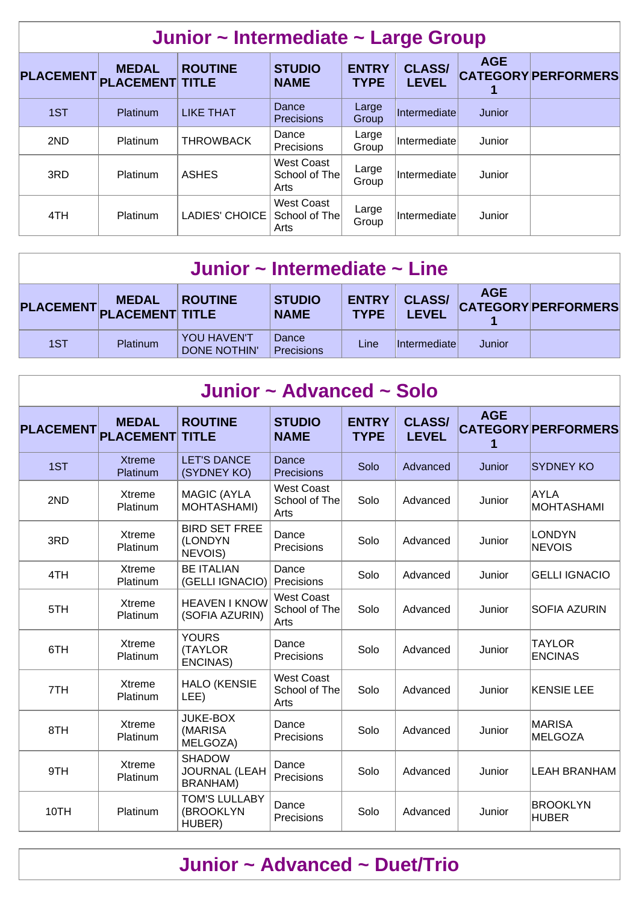| Junior ~ Intermediate ~ Large Group |                                  |                                |                                            |                             |                               |            |                            |  |  |  |  |
|-------------------------------------|----------------------------------|--------------------------------|--------------------------------------------|-----------------------------|-------------------------------|------------|----------------------------|--|--|--|--|
| <b>PLACEMENT</b>                    | <b>MEDAL</b><br><b>PLACEMENT</b> | <b>ROUTINE</b><br><b>TITLE</b> | <b>STUDIO</b><br><b>NAME</b>               | <b>ENTRY</b><br><b>TYPE</b> | <b>CLASS/</b><br><b>LEVEL</b> | <b>AGE</b> | <b>CATEGORY PERFORMERS</b> |  |  |  |  |
| 1ST                                 | Platinum                         | <b>LIKE THAT</b>               | Dance<br><b>Precisions</b>                 | Large<br>Group              | Intermediate                  | Junior     |                            |  |  |  |  |
| 2ND                                 | Platinum                         | <b>THROWBACK</b>               | Dance<br>Precisions                        | Large<br>Group              | Intermediate                  | Junior     |                            |  |  |  |  |
| 3RD                                 | Platinum                         | <b>ASHES</b>                   | West Coast<br>School of The<br>Arts        | Large<br>Group              | Intermediate                  | Junior     |                            |  |  |  |  |
| 4TH                                 | Platinum                         | <b>LADIES' CHOICE</b>          | <b>West Coast</b><br>School of The<br>Arts | Large<br>Group              | <b>Intermediate</b>           | Junior     |                            |  |  |  |  |

| Junior $\sim$ Intermediate $\sim$ Line                                                                                                                                                                  |                 |                                           |                     |      |                      |        |  |  |  |  |
|---------------------------------------------------------------------------------------------------------------------------------------------------------------------------------------------------------|-----------------|-------------------------------------------|---------------------|------|----------------------|--------|--|--|--|--|
| <b>AGE</b><br><b>CLASS/</b><br><b>ENTRY</b><br><b>STUDIO</b><br><b>MEDAL</b><br><b>ROUTINE</b><br><b>CATEGORY PERFORMERS</b><br>PLACEMENT PLACEMENT TITLE<br><b>LEVEL</b><br><b>TYPE</b><br><b>NAME</b> |                 |                                           |                     |      |                      |        |  |  |  |  |
| 1ST                                                                                                                                                                                                     | <b>Platinum</b> | <b>YOU HAVEN'T</b><br><b>DONE NOTHIN'</b> | Dance<br>Precisions | Line | <i>Intermediatel</i> | Junior |  |  |  |  |

|                  | Junior ~ Advanced ~ Solo         |                                                          |                                            |                             |                               |            |                                  |  |  |  |  |  |
|------------------|----------------------------------|----------------------------------------------------------|--------------------------------------------|-----------------------------|-------------------------------|------------|----------------------------------|--|--|--|--|--|
| <b>PLACEMENT</b> | <b>MEDAL</b><br><b>PLACEMENT</b> | <b>ROUTINE</b><br><b>TITLE</b>                           | <b>STUDIO</b><br><b>NAME</b>               | <b>ENTRY</b><br><b>TYPE</b> | <b>CLASS/</b><br><b>LEVEL</b> | <b>AGE</b> | <b>CATEGORY PERFORMERS</b>       |  |  |  |  |  |
| 1ST              | <b>Xtreme</b><br>Platinum        | <b>LET'S DANCE</b><br>(SYDNEY KO)                        | Dance<br><b>Precisions</b>                 | Solo                        | Advanced                      | Junior     | <b>SYDNEY KO</b>                 |  |  |  |  |  |
| 2ND              | Xtreme<br>Platinum               | <b>MAGIC (AYLA</b><br><b>MOHTASHAMI)</b>                 | <b>West Coast</b><br>School of The<br>Arts | Solo                        | Advanced                      | Junior     | <b>AYLA</b><br><b>MOHTASHAMI</b> |  |  |  |  |  |
| 3RD              | Xtreme<br>Platinum               | <b>BIRD SET FREE</b><br>(LONDYN<br>NEVOIS)               | Dance<br>Precisions                        | Solo                        | Advanced                      | Junior     | <b>LONDYN</b><br><b>NEVOIS</b>   |  |  |  |  |  |
| 4TH              | Xtreme<br>Platinum               | <b>BE ITALIAN</b><br>(GELLI IGNACIO)                     | Dance<br>Precisions                        | Solo                        | Advanced                      | Junior     | <b>GELLI IGNACIO</b>             |  |  |  |  |  |
| 5TH              | Xtreme<br>Platinum               | <b>HEAVEN I KNOW</b><br>(SOFIA AZURIN)                   | <b>West Coast</b><br>School of The<br>Arts | Solo                        | Advanced                      | Junior     | <b>SOFIA AZURIN</b>              |  |  |  |  |  |
| 6TH              | Xtreme<br>Platinum               | <b>YOURS</b><br>(TAYLOR<br><b>ENCINAS)</b>               | Dance<br>Precisions                        | Solo                        | Advanced                      | Junior     | <b>TAYLOR</b><br><b>ENCINAS</b>  |  |  |  |  |  |
| 7TH              | Xtreme<br>Platinum               | <b>HALO (KENSIE</b><br>LEE)                              | <b>West Coast</b><br>School of The<br>Arts | Solo                        | Advanced                      | Junior     | <b>KENSIE LEE</b>                |  |  |  |  |  |
| 8TH              | Xtreme<br>Platinum               | <b>JUKE-BOX</b><br>(MARISA<br>MELGOZA)                   | Dance<br>Precisions                        | Solo                        | Advanced                      | Junior     | <b>MARISA</b><br><b>MELGOZA</b>  |  |  |  |  |  |
| 9TH              | Xtreme<br>Platinum               | <b>SHADOW</b><br><b>JOURNAL (LEAH</b><br><b>BRANHAM)</b> | Dance<br><b>Precisions</b>                 | Solo                        | Advanced                      | Junior     | LEAH BRANHAM                     |  |  |  |  |  |
| 10TH             | Platinum                         | <b>TOM'S LULLABY</b><br>(BROOKLYN<br>HUBER)              | Dance<br>Precisions                        | Solo                        | Advanced                      | Junior     | <b>BROOKLYN</b><br><b>HUBER</b>  |  |  |  |  |  |

## **Junior ~ Advanced ~ Duet/Trio**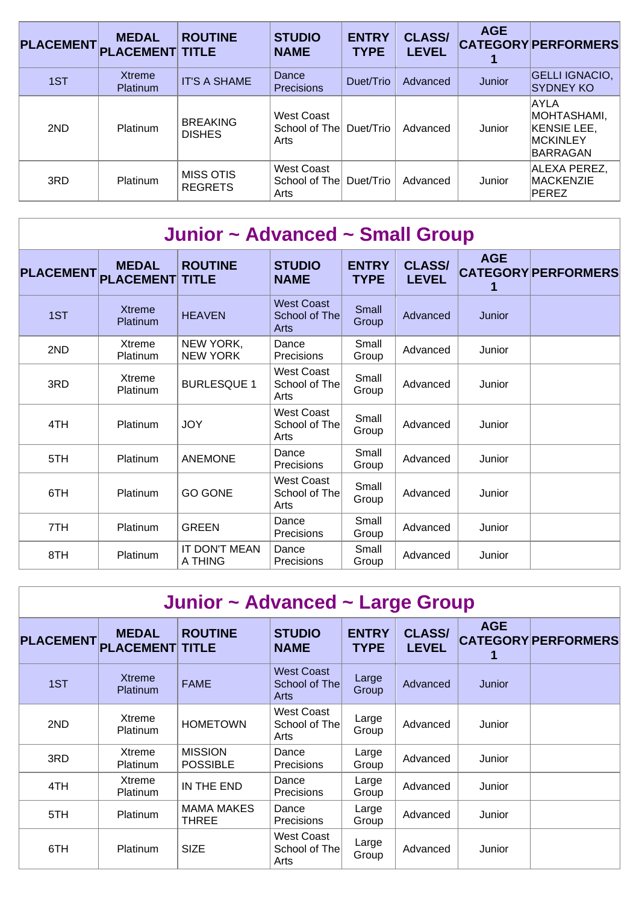| <b>PLACEMENT</b> | <b>MEDAL</b><br><b>PLACEMENT TITLE</b> | <b>ROUTINE</b>                   | <b>STUDIO</b><br><b>NAME</b>                | <b>ENTRY</b><br><b>TYPE</b> | <b>CLASS/</b><br><b>LEVEL</b> | <b>AGE</b> | <b>CATEGORY PERFORMERS</b>                                                |
|------------------|----------------------------------------|----------------------------------|---------------------------------------------|-----------------------------|-------------------------------|------------|---------------------------------------------------------------------------|
| 1ST              | Xtreme<br><b>Platinum</b>              | <b>IT'S A SHAME</b>              | Dance<br>Precisions                         | Duet/Trio                   | Advanced                      | Junior     | <b>GELLI IGNACIO,</b><br><b>SYDNEY KO</b>                                 |
| 2ND              | Platinum                               | <b>BREAKING</b><br><b>DISHES</b> | West Coast<br>School of The<br>Arts         | Duet/Trio                   | Advanced                      | Junior     | AAYLA<br>MOHTASHAMI,<br><b>KENSIE LEE,</b><br><b>MCKINLEY</b><br>BARRAGAN |
| 3RD              | Platinum                               | MISS OTIS<br><b>REGRETS</b>      | <b>West Coast</b><br>School of Thel<br>Arts | Duet/Trio                   | Advanced                      | Junior     | ALEXA PEREZ,<br><b>MACKENZIE</b><br><b>PEREZ</b>                          |

|                  | Junior ~ Advanced ~ Small Group  |                                |                                            |                             |                               |            |                            |  |  |  |  |  |
|------------------|----------------------------------|--------------------------------|--------------------------------------------|-----------------------------|-------------------------------|------------|----------------------------|--|--|--|--|--|
| <b>PLACEMENT</b> | <b>MEDAL</b><br><b>PLACEMENT</b> | <b>ROUTINE</b><br><b>TITLE</b> | <b>STUDIO</b><br><b>NAME</b>               | <b>ENTRY</b><br><b>TYPE</b> | <b>CLASS/</b><br><b>LEVEL</b> | <b>AGE</b> | <b>CATEGORY PERFORMERS</b> |  |  |  |  |  |
| 1ST              | <b>Xtreme</b><br>Platinum        | <b>HEAVEN</b>                  | <b>West Coast</b><br>School of The<br>Arts | Small<br>Group              | Advanced                      | Junior     |                            |  |  |  |  |  |
| 2ND              | Xtreme<br>Platinum               | NEW YORK,<br><b>NEW YORK</b>   | Dance<br>Precisions                        | Small<br>Group              | Advanced                      | Junior     |                            |  |  |  |  |  |
| 3RD              | Xtreme<br>Platinum               | <b>BURLESQUE 1</b>             | <b>West Coast</b><br>School of The<br>Arts | Small<br>Group              | Advanced                      | Junior     |                            |  |  |  |  |  |
| 4TH              | Platinum                         | <b>JOY</b>                     | <b>West Coast</b><br>School of The<br>Arts | Small<br>Group              | Advanced                      | Junior     |                            |  |  |  |  |  |
| 5TH              | Platinum                         | <b>ANEMONE</b>                 | Dance<br>Precisions                        | Small<br>Group              | Advanced                      | Junior     |                            |  |  |  |  |  |
| 6TH              | Platinum                         | <b>GO GONE</b>                 | <b>West Coast</b><br>School of The<br>Arts | Small<br>Group              | Advanced                      | Junior     |                            |  |  |  |  |  |
| 7TH              | Platinum                         | <b>GREEN</b>                   | Dance<br>Precisions                        | Small<br>Group              | Advanced                      | Junior     |                            |  |  |  |  |  |
| 8TH              | Platinum                         | IT DON'T MEAN<br>A THING       | Dance<br>Precisions                        | Small<br>Group              | Advanced                      | Junior     |                            |  |  |  |  |  |

| Junior ~ Advanced ~ Large Group |                                        |                                   |                                     |                             |                               |            |                            |  |  |  |  |
|---------------------------------|----------------------------------------|-----------------------------------|-------------------------------------|-----------------------------|-------------------------------|------------|----------------------------|--|--|--|--|
| <b>PLACEMENT</b>                | <b>MEDAL</b><br><b>PLACEMENT TITLE</b> | <b>ROUTINE</b>                    | <b>STUDIO</b><br><b>NAME</b>        | <b>ENTRY</b><br><b>TYPE</b> | <b>CLASS/</b><br><b>LEVEL</b> | <b>AGE</b> | <b>CATEGORY PERFORMERS</b> |  |  |  |  |
| 1ST                             | <b>Xtreme</b><br>Platinum              | <b>FAME</b>                       | West Coast<br>School of The<br>Arts | Large<br>Group              | Advanced                      | Junior     |                            |  |  |  |  |
| 2ND                             | Xtreme<br><b>Platinum</b>              | <b>HOMETOWN</b>                   | West Coast<br>School of The<br>Arts | Large<br>Group              | Advanced                      | Junior     |                            |  |  |  |  |
| 3RD                             | Xtreme<br><b>Platinum</b>              | <b>MISSION</b><br><b>POSSIBLE</b> | Dance<br><b>Precisions</b>          | Large<br>Group              | Advanced                      | Junior     |                            |  |  |  |  |
| 4TH                             | Xtreme<br>Platinum                     | IN THE END                        | Dance<br>Precisions                 | Large<br>Group              | Advanced                      | Junior     |                            |  |  |  |  |
| 5TH                             | Platinum                               | <b>MAMA MAKES</b><br><b>THREE</b> | Dance<br><b>Precisions</b>          | Large<br>Group              | Advanced                      | Junior     |                            |  |  |  |  |
| 6TH                             | <b>Platinum</b>                        | <b>SIZE</b>                       | West Coast<br>School of The<br>Arts | Large<br>Group              | Advanced                      | Junior     |                            |  |  |  |  |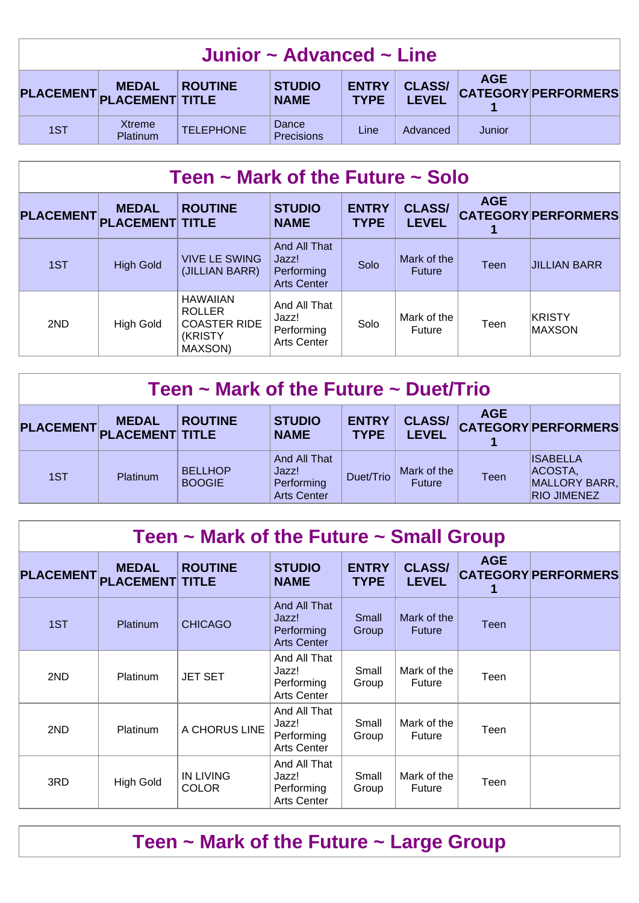| Junior $\sim$ Advanced $\sim$ Line                                                                                                                                                                      |                           |                  |                     |                   |          |        |  |  |  |
|---------------------------------------------------------------------------------------------------------------------------------------------------------------------------------------------------------|---------------------------|------------------|---------------------|-------------------|----------|--------|--|--|--|
| <b>AGE</b><br><b>CLASS/</b><br><b>ENTRY</b><br><b>STUDIO</b><br><b>MEDAL</b><br><b>ROUTINE</b><br><b>CATEGORY PERFORMERS</b><br>PLACEMENT PLACEMENT TITLE<br><b>LEVEL</b><br><b>TYPE</b><br><b>NAME</b> |                           |                  |                     |                   |          |        |  |  |  |
| 1ST                                                                                                                                                                                                     | <b>Xtreme</b><br>Platinum | <b>TELEPHONE</b> | Dance<br>Precisions | Line <sup>®</sup> | Advanced | Junior |  |  |  |

| Teen $\sim$ Mark of the Future $\sim$ Solo |                                        |                                                                               |                                                           |                             |                               |             |                            |  |  |  |
|--------------------------------------------|----------------------------------------|-------------------------------------------------------------------------------|-----------------------------------------------------------|-----------------------------|-------------------------------|-------------|----------------------------|--|--|--|
| <b>PLACEMENT</b>                           | <b>MEDAL</b><br><b>PLACEMENT TITLE</b> | <b>ROUTINE</b>                                                                | <b>STUDIO</b><br><b>NAME</b>                              | <b>ENTRY</b><br><b>TYPE</b> | <b>CLASS/</b><br><b>LEVEL</b> | <b>AGE</b>  | <b>CATEGORY PERFORMERS</b> |  |  |  |
| 1ST                                        | <b>High Gold</b>                       | <b>VIVE LE SWING</b><br>(JILLIAN BARR)                                        | And All That<br>Jazz!<br>Performing<br><b>Arts Center</b> | Solo                        | Mark of the<br><b>Future</b>  | <b>Teen</b> | <b>JILLIAN BARR</b>        |  |  |  |
| 2ND                                        | <b>High Gold</b>                       | <b>HAWAIIAN</b><br><b>ROLLER</b><br><b>COASTER RIDE</b><br>(KRISTY<br>MAXSON) | And All That<br>Jazz!<br>Performing<br><b>Arts Center</b> | Solo                        | Mark of the<br>Future         | Teen        | KRISTY<br><b>MAXSON</b>    |  |  |  |

| Teen $\sim$ Mark of the Future $\sim$ Duet/Trio |                 |                                 |                                                           |                             |                               |            |                                                                   |  |  |  |
|-------------------------------------------------|-----------------|---------------------------------|-----------------------------------------------------------|-----------------------------|-------------------------------|------------|-------------------------------------------------------------------|--|--|--|
| PLACEMENT PLACEMENT TITLE                       | <b>MEDAL</b>    | <b>ROUTINE</b>                  | <b>STUDIO</b><br><b>NAME</b>                              | <b>ENTRY</b><br><b>TYPE</b> | <b>CLASS/</b><br><b>LEVEL</b> | <b>AGE</b> | <b>CATEGORY PERFORMERS</b>                                        |  |  |  |
| 1ST                                             | <b>Platinum</b> | <b>BELLHOP</b><br><b>BOOGIE</b> | And All That<br>Jazz!<br>Performing<br><b>Arts Center</b> | Duet/Trio                   | Mark of the<br><b>Future</b>  | Teen       | <b>ISABELLA</b><br>ACOSTA,<br>MALLORY BARR,<br><b>RIO JIMENEZ</b> |  |  |  |

| Teen $\sim$ Mark of the Future $\sim$ Small Group |                                        |                                  |                                                           |                             |                               |            |                            |  |  |  |
|---------------------------------------------------|----------------------------------------|----------------------------------|-----------------------------------------------------------|-----------------------------|-------------------------------|------------|----------------------------|--|--|--|
| <b>PLACEMENT</b>                                  | <b>MEDAL</b><br><b>PLACEMENT TITLE</b> | <b>ROUTINE</b>                   | <b>STUDIO</b><br><b>NAME</b>                              | <b>ENTRY</b><br><b>TYPE</b> | <b>CLASS/</b><br><b>LEVEL</b> | <b>AGE</b> | <b>CATEGORY PERFORMERS</b> |  |  |  |
| 1ST                                               | <b>Platinum</b>                        | <b>CHICAGO</b>                   | And All That<br>Jazz!<br>Performing<br><b>Arts Center</b> | Small<br>Group              | Mark of the<br><b>Future</b>  | Teen       |                            |  |  |  |
| 2ND                                               | <b>Platinum</b>                        | <b>JET SET</b>                   | And All That<br>Jazz!<br>Performing<br>Arts Center        | Small<br>Group              | Mark of the<br>Future         | Teen       |                            |  |  |  |
| 2ND                                               | <b>Platinum</b>                        | A CHORUS LINE                    | And All That<br>Jazz!<br>Performing<br>Arts Center        | Small<br>Group              | Mark of the<br>Future         | Teen       |                            |  |  |  |
| 3RD                                               | <b>High Gold</b>                       | <b>IN LIVING</b><br><b>COLOR</b> | And All That<br>Jazz!<br>Performing<br>Arts Center        | Small<br>Group              | Mark of the<br><b>Future</b>  | Teen       |                            |  |  |  |

## **Teen ~ Mark of the Future ~ Large Group**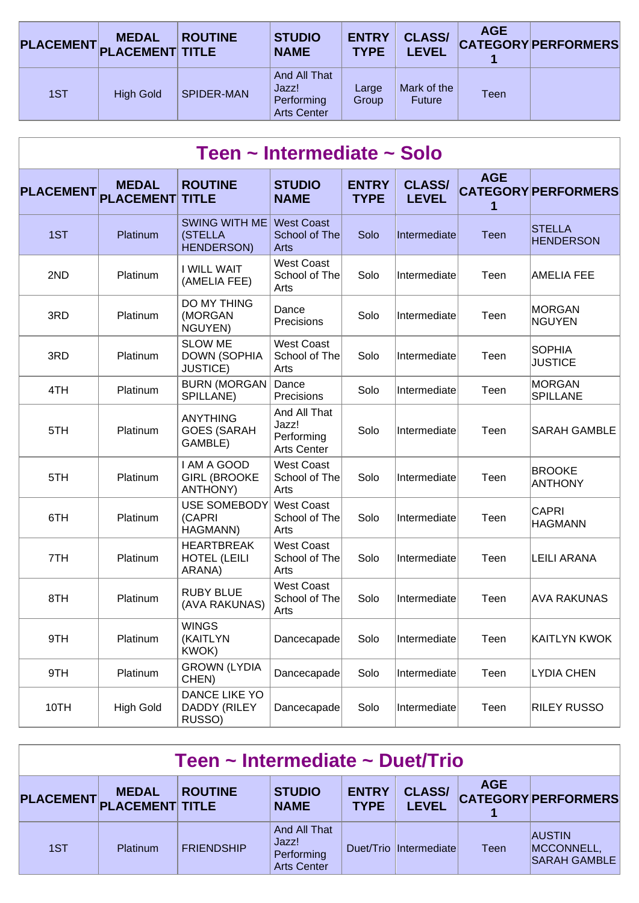|     | <b>MEDAL</b><br>PLACEMENT PLACEMENT TITLE | <b>ROUTINE</b>    | <b>STUDIO</b><br><b>NAME</b>                              | <b>ENTRY</b><br><b>TYPE</b> | <b>CLASS/</b><br><b>LEVEL</b> | <b>AGE</b>  | <b>CATEGORY PERFORMERS</b> |
|-----|-------------------------------------------|-------------------|-----------------------------------------------------------|-----------------------------|-------------------------------|-------------|----------------------------|
| 1ST | <b>High Gold</b>                          | <b>SPIDER-MAN</b> | And All That<br>Jazz!<br>Performing<br><b>Arts Center</b> | Large<br>Group              | Mark of the<br><b>Future</b>  | <b>Teen</b> |                            |

| Teen ~ Intermediate ~ Solo |                                  |                                                          |                                                           |                             |                               |                 |                                   |  |  |  |  |
|----------------------------|----------------------------------|----------------------------------------------------------|-----------------------------------------------------------|-----------------------------|-------------------------------|-----------------|-----------------------------------|--|--|--|--|
| <b>PLACEMENT</b>           | <b>MEDAL</b><br><b>PLACEMENT</b> | <b>ROUTINE</b><br><b>TITLE</b>                           | <b>STUDIO</b><br><b>NAME</b>                              | <b>ENTRY</b><br><b>TYPE</b> | <b>CLASS/</b><br><b>LEVEL</b> | <b>AGE</b><br>1 | <b>CATEGORY PERFORMERS</b>        |  |  |  |  |
| 1ST                        | Platinum                         | <b>SWING WITH ME</b><br>(STELLA<br><b>HENDERSON)</b>     | <b>West Coast</b><br>School of The<br>Arts                | Solo                        | Intermediate                  | Teen            | <b>STELLA</b><br><b>HENDERSON</b> |  |  |  |  |
| 2ND                        | Platinum                         | I WILL WAIT<br>(AMELIA FEE)                              | <b>West Coast</b><br>School of The<br>Arts                | Solo                        | Intermediate                  | Teen            | <b>AMELIA FEE</b>                 |  |  |  |  |
| 3RD                        | Platinum                         | DO MY THING<br>(MORGAN<br>NGUYEN)                        | Dance<br>Precisions                                       | Solo                        | Intermediate                  | Teen            | <b>MORGAN</b><br><b>NGUYEN</b>    |  |  |  |  |
| 3RD                        | Platinum                         | <b>SLOW ME</b><br><b>DOWN (SOPHIA</b><br><b>JUSTICE)</b> | <b>West Coast</b><br>School of The<br>Arts                | Solo                        | Intermediate                  | Teen            | <b>SOPHIA</b><br><b>JUSTICE</b>   |  |  |  |  |
| 4TH                        | Platinum                         | <b>BURN (MORGAN</b><br>SPILLANE)                         | Dance<br>Precisions                                       | Solo                        | Intermediate                  | Teen            | <b>MORGAN</b><br><b>SPILLANE</b>  |  |  |  |  |
| 5TH                        | Platinum                         | <b>ANYTHING</b><br><b>GOES (SARAH</b><br>GAMBLE)         | And All That<br>Jazz!<br>Performing<br><b>Arts Center</b> | Solo                        | Intermediate                  | Teen            | <b>SARAH GAMBLE</b>               |  |  |  |  |
| 5TH                        | Platinum                         | I AM A GOOD<br><b>GIRL (BROOKE</b><br><b>ANTHONY)</b>    | <b>West Coast</b><br>School of The<br>Arts                | Solo                        | Intermediate                  | Teen            | <b>BROOKE</b><br><b>ANTHONY</b>   |  |  |  |  |
| 6TH                        | Platinum                         | <b>USE SOMEBODY</b><br>(CAPRI<br>HAGMANN)                | <b>West Coast</b><br>School of The<br>Arts                | Solo                        | Intermediate                  | Teen            | <b>CAPRI</b><br><b>HAGMANN</b>    |  |  |  |  |
| 7TH                        | Platinum                         | <b>HEARTBREAK</b><br><b>HOTEL (LEILI</b><br>ARANA)       | <b>West Coast</b><br>School of The<br>Arts                | Solo                        | Intermediate                  | Teen            | <b>LEILI ARANA</b>                |  |  |  |  |
| 8TH                        | Platinum                         | <b>RUBY BLUE</b><br>(AVA RAKUNAS)                        | <b>West Coast</b><br>School of The<br>Arts                | Solo                        | Intermediate                  | Teen            | <b>AVA RAKUNAS</b>                |  |  |  |  |
| 9TH                        | Platinum                         | <b>WINGS</b><br>(KAITLYN<br>KWOK)                        | Dancecapade                                               | Solo                        | Intermediate                  | Teen            | <b>KAITLYN KWOK</b>               |  |  |  |  |
| 9TH                        | Platinum                         | <b>GROWN (LYDIA</b><br>CHEN)                             | Dancecapade                                               | Solo                        | Intermediate                  | Teen            | <b>LYDIA CHEN</b>                 |  |  |  |  |
| 10TH                       | <b>High Gold</b>                 | <b>DANCE LIKE YO</b><br>DADDY (RILEY<br>RUSSO)           | Dancecapade                                               | Solo                        | Intermediate                  | Teen            | <b>RILEY RUSSO</b>                |  |  |  |  |

| Teen ~ Intermediate ~ Duet/Trio |                                           |                   |                                                           |                             |                               |             |                                                    |  |  |
|---------------------------------|-------------------------------------------|-------------------|-----------------------------------------------------------|-----------------------------|-------------------------------|-------------|----------------------------------------------------|--|--|
|                                 | <b>MEDAL</b><br>PLACEMENT PLACEMENT TITLE | <b>ROUTINE</b>    | <b>STUDIO</b><br><b>NAME</b>                              | <b>ENTRY</b><br><b>TYPE</b> | <b>CLASS/</b><br><b>LEVEL</b> | <b>AGE</b>  | <b>CATEGORY PERFORMERS</b>                         |  |  |
| 1ST                             | <b>Platinum</b>                           | <b>FRIENDSHIP</b> | And All That<br>Jazz!<br>Performing<br><b>Arts Center</b> |                             | Duet/Trio Intermediate        | <b>Teen</b> | <b>AUSTIN</b><br>MCCONNELL,<br><b>SARAH GAMBLE</b> |  |  |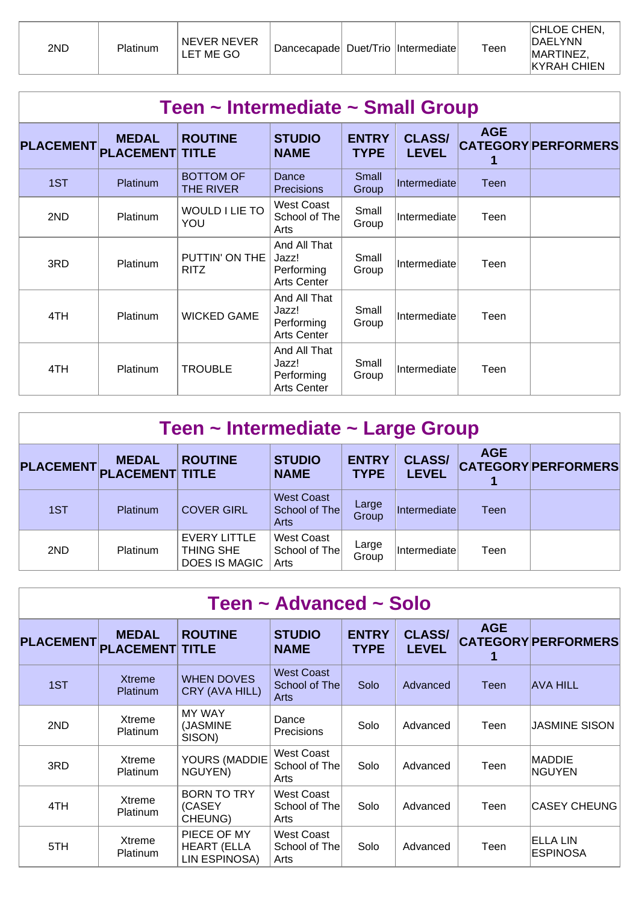| 2ND | Platinum | NEVER NEVER<br>LET ME GO | Dancecapade Duet/Trio Intermediate |  |  | Teen | <b>CHLOE CHEN,</b><br><b>IDAELYNN</b><br><b>MARTINEZ</b><br><b>KYRAH CHIEN</b> |
|-----|----------|--------------------------|------------------------------------|--|--|------|--------------------------------------------------------------------------------|
|-----|----------|--------------------------|------------------------------------|--|--|------|--------------------------------------------------------------------------------|

|                  | Teen ~ Intermediate ~ Small Group |                                |                                                           |                             |                               |            |                            |  |  |  |  |
|------------------|-----------------------------------|--------------------------------|-----------------------------------------------------------|-----------------------------|-------------------------------|------------|----------------------------|--|--|--|--|
| <b>PLACEMENT</b> | <b>MEDAL</b><br><b>PLACEMENT</b>  | <b>ROUTINE</b><br><b>TITLE</b> | <b>STUDIO</b><br><b>NAME</b>                              | <b>ENTRY</b><br><b>TYPE</b> | <b>CLASS/</b><br><b>LEVEL</b> | <b>AGE</b> | <b>CATEGORY PERFORMERS</b> |  |  |  |  |
| 1ST              | <b>Platinum</b>                   | <b>BOTTOM OF</b><br>THE RIVER  | Dance<br><b>Precisions</b>                                | Small<br>Group              | Intermediate                  | Teen       |                            |  |  |  |  |
| 2ND              | Platinum                          | WOULD I LIE TO<br>YOU          | West Coast<br>School of The<br>Arts                       | Small<br>Group              | Intermediate                  | Teen       |                            |  |  |  |  |
| 3RD              | <b>Platinum</b>                   | PUTTIN' ON THE<br><b>RITZ</b>  | And All That<br>Jazz!<br>Performing<br><b>Arts Center</b> | Small<br>Group              | Intermediate                  | Teen       |                            |  |  |  |  |
| 4TH              | Platinum                          | <b>WICKED GAME</b>             | And All That<br>Jazz!<br>Performing<br><b>Arts Center</b> | Small<br>Group              | Intermediate                  | Teen       |                            |  |  |  |  |
| 4TH              | Platinum                          | <b>TROUBLE</b>                 | And All That<br>Jazz!<br>Performing<br><b>Arts Center</b> | Small<br>Group              | Intermediate                  | Teen       |                            |  |  |  |  |

| Teen ~ Intermediate ~ Large Group |                                        |                                                   |                                            |                             |                               |             |                            |  |  |  |
|-----------------------------------|----------------------------------------|---------------------------------------------------|--------------------------------------------|-----------------------------|-------------------------------|-------------|----------------------------|--|--|--|
| <b>PLACEMENT</b>                  | <b>MEDAL</b><br><b>PLACEMENT TITLE</b> | <b>ROUTINE</b>                                    | <b>STUDIO</b><br><b>NAME</b>               | <b>ENTRY</b><br><b>TYPE</b> | <b>CLASS/</b><br><b>LEVEL</b> | <b>AGE</b>  | <b>CATEGORY PERFORMERS</b> |  |  |  |
| 1ST                               | Platinum                               | <b>COVER GIRL</b>                                 | <b>West Coast</b><br>School of The<br>Arts | Large<br>Group              | Intermediate                  | <b>Teen</b> |                            |  |  |  |
| 2ND                               | <b>Platinum</b>                        | EVERY LITTLE<br>THING SHE<br><b>DOES IS MAGIC</b> | <b>West Coast</b><br>School of The<br>Arts | Large<br>Group              | Intermediate                  | Teen        |                            |  |  |  |

| Teen ~ Advanced ~ Solo |                                        |                                                    |                                            |                             |                               |            |                                    |  |  |  |
|------------------------|----------------------------------------|----------------------------------------------------|--------------------------------------------|-----------------------------|-------------------------------|------------|------------------------------------|--|--|--|
| <b>PLACEMENT</b>       | <b>MEDAL</b><br><b>PLACEMENT TITLE</b> | <b>ROUTINE</b>                                     | <b>STUDIO</b><br><b>NAME</b>               | <b>ENTRY</b><br><b>TYPE</b> | <b>CLASS/</b><br><b>LEVEL</b> | <b>AGE</b> | <b>CATEGORY PERFORMERS</b>         |  |  |  |
| 1ST                    | <b>Xtreme</b><br>Platinum              | <b>WHEN DOVES</b><br>CRY (AVA HILL)                | <b>West Coast</b><br>School of The<br>Arts | Solo                        | Advanced                      | Teen       | <b>AVA HILL</b>                    |  |  |  |
| 2ND                    | Xtreme<br>Platinum                     | <b>MY WAY</b><br>(JASMINE<br>SISON)                | Dance<br>Precisions                        | Solo                        | Advanced                      | Teen       | <b>JASMINE SISON</b>               |  |  |  |
| 3RD                    | Xtreme<br><b>Platinum</b>              | YOURS (MADDIE<br>NGUYEN)                           | West Coast<br>School of The<br>Arts        | Solo                        | Advanced                      | Teen       | <b>MADDIE</b><br><b>NGUYEN</b>     |  |  |  |
| 4TH                    | Xtreme<br><b>Platinum</b>              | <b>BORN TO TRY</b><br>(CASEY<br>CHEUNG)            | West Coast<br>School of The<br>Arts        | Solo                        | Advanced                      | Teen       | <b>CASEY CHEUNG</b>                |  |  |  |
| 5TH                    | Xtreme<br>Platinum                     | PIECE OF MY<br><b>HEART (ELLA</b><br>LIN ESPINOSA) | <b>West Coast</b><br>School of The<br>Arts | Solo                        | Advanced                      | Teen       | <b>ELLA LIN</b><br><b>ESPINOSA</b> |  |  |  |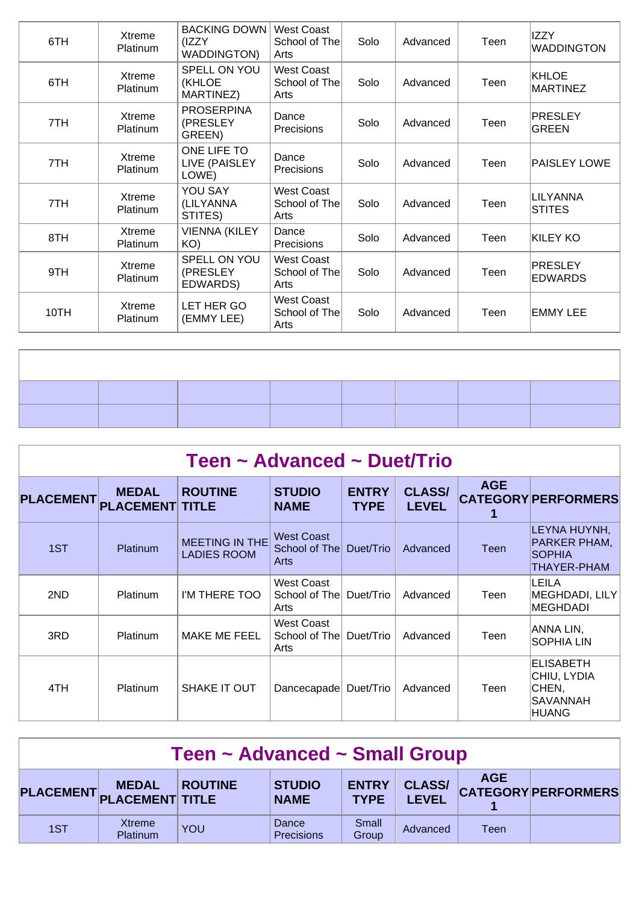| 6TH  | Xtreme<br>Platinum        | <b>BACKING DOWN</b><br>(IZZY<br><b>WADDINGTON)</b> | <b>West Coast</b><br>School of The<br>Arts | Solo | Advanced | Teen | <b>IZZY</b><br><b>WADDINGTON</b> |
|------|---------------------------|----------------------------------------------------|--------------------------------------------|------|----------|------|----------------------------------|
| 6TH  | Xtreme<br>Platinum        | SPELL ON YOU<br>(KHLOE<br>MARTINEZ)                | <b>West Coast</b><br>School of The<br>Arts | Solo | Advanced | Teen | <b>KHLOE</b><br><b>MARTINEZ</b>  |
| 7TH  | Xtreme<br>Platinum        | <b>PROSERPINA</b><br>(PRESLEY<br>GREEN)            | Dance<br><b>Precisions</b>                 | Solo | Advanced | Teen | <b>PRESLEY</b><br>GREEN          |
| 7TH  | Xtreme<br>Platinum        | ONE LIFE TO<br>LIVE (PAISLEY<br>LOWE)              | Dance<br><b>Precisions</b>                 | Solo | Advanced | Teen | PAISLEY LOWE                     |
| 7TH  | Xtreme<br><b>Platinum</b> | YOU SAY<br>(LILYANNA<br>STITES)                    | <b>West Coast</b><br>School of The<br>Arts | Solo | Advanced | Teen | <b>LILYANNA</b><br><b>STITES</b> |
| 8TH  | Xtreme<br>Platinum        | <b>VIENNA (KILEY</b><br>KO)                        | Dance<br><b>Precisions</b>                 | Solo | Advanced | Teen | KILEY KO                         |
| 9TH  | Xtreme<br>Platinum        | SPELL ON YOU<br>(PRESLEY<br>EDWARDS)               | <b>West Coast</b><br>School of The<br>Arts | Solo | Advanced | Teen | <b>PRESLEY</b><br><b>EDWARDS</b> |
| 10TH | Xtreme<br>Platinum        | LET HER GO<br>(EMMY LEE)                           | West Coast<br>School of The<br>Arts        | Solo | Advanced | Teen | <b>EMMY LEE</b>                  |

| Teen ~ Advanced ~ Duet/Trio |                                        |                                             |                                            |                             |                               |            |                                                                      |  |  |  |  |
|-----------------------------|----------------------------------------|---------------------------------------------|--------------------------------------------|-----------------------------|-------------------------------|------------|----------------------------------------------------------------------|--|--|--|--|
| <b>PLACEMENT</b>            | <b>MEDAL</b><br><b>PLACEMENT TITLE</b> | <b>ROUTINE</b>                              | <b>STUDIO</b><br><b>NAME</b>               | <b>ENTRY</b><br><b>TYPE</b> | <b>CLASS/</b><br><b>LEVEL</b> | <b>AGE</b> | <b>CATEGORY PERFORMERS</b>                                           |  |  |  |  |
| 1ST                         | Platinum                               | <b>MEETING IN THE</b><br><b>LADIES ROOM</b> | <b>West Coast</b><br>School of The<br>Arts | Duet/Trio                   | Advanced                      | Teen       | LEYNA HUYNH,<br>PARKER PHAM,<br><b>SOPHIA</b><br>THAYER-PHAM         |  |  |  |  |
| 2ND                         | <b>Platinum</b>                        | I'M THERE TOO                               | West Coast<br>School of The<br>Arts        | Duet/Trio                   | Advanced                      | Teen       | LEILA<br><b>MEGHDADI, LILY</b><br><b>MEGHDADI</b>                    |  |  |  |  |
| 3RD                         | <b>Platinum</b>                        | MAKE ME FEEL                                | West Coast<br>School of The<br>Arts        | Duet/Trio                   | Advanced                      | Teen       | ANNA LIN,<br><b>SOPHIA LIN</b>                                       |  |  |  |  |
| 4TH                         | <b>Platinum</b>                        | SHAKE IT OUT                                | Dancecapade                                | Duet/Trio                   | Advanced                      | Teen       | <b>ELISABETH</b><br>CHIU, LYDIA<br>CHEN,<br>SAVANNAH<br><b>HUANG</b> |  |  |  |  |

| Teen ~ Advanced ~ Small Group |                                           |                |                              |                             |                               |            |                            |  |  |
|-------------------------------|-------------------------------------------|----------------|------------------------------|-----------------------------|-------------------------------|------------|----------------------------|--|--|
|                               | <b>MEDAL</b><br>PLACEMENT PLACEMENT TITLE | <b>ROUTINE</b> | <b>STUDIO</b><br><b>NAME</b> | <b>ENTRY</b><br><b>TYPE</b> | <b>CLASS/</b><br><b>LEVEL</b> | <b>AGE</b> | <b>CATEGORY PERFORMERS</b> |  |  |
| 1ST                           | Xtreme<br>Platinum                        | YOU            | Dance<br>Precisions          | Small<br>Group              | Advanced                      | Teen       |                            |  |  |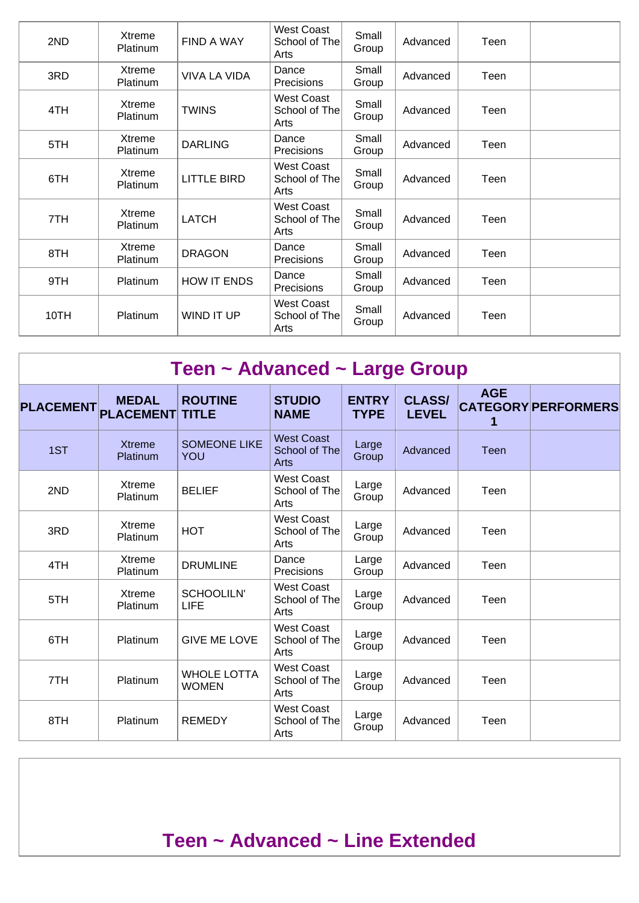| 2ND  | Xtreme<br>Platinum        | FIND A WAY          | West Coast<br>School of The<br>Arts        | Small<br>Group | Advanced | Teen |  |
|------|---------------------------|---------------------|--------------------------------------------|----------------|----------|------|--|
| 3RD  | Xtreme<br><b>Platinum</b> | <b>VIVA LA VIDA</b> | Dance<br>Precisions                        | Small<br>Group | Advanced | Teen |  |
| 4TH  | Xtreme<br><b>Platinum</b> | <b>TWINS</b>        | West Coast<br>School of The<br>Arts        | Small<br>Group | Advanced | Teen |  |
| 5TH  | Xtreme<br><b>Platinum</b> | <b>DARLING</b>      | Dance<br>Precisions                        | Small<br>Group | Advanced | Teen |  |
| 6TH  | Xtreme<br><b>Platinum</b> | <b>LITTLE BIRD</b>  | West Coast<br>School of The<br>Arts        | Small<br>Group | Advanced | Teen |  |
| 7TH  | Xtreme<br><b>Platinum</b> | <b>LATCH</b>        | <b>West Coast</b><br>School of The<br>Arts | Small<br>Group | Advanced | Teen |  |
| 8TH  | Xtreme<br>Platinum        | <b>DRAGON</b>       | Dance<br>Precisions                        | Small<br>Group | Advanced | Teen |  |
| 9TH  | Platinum                  | <b>HOW IT ENDS</b>  | Dance<br><b>Precisions</b>                 | Small<br>Group | Advanced | Teen |  |
| 10TH | Platinum                  | WIND IT UP          | West Coast<br>School of The<br>Arts        | Small<br>Group | Advanced | Teen |  |

|                  | Teen ~ Advanced ~ Large Group    |                                    |                                            |                             |                               |                 |                            |  |  |  |  |  |
|------------------|----------------------------------|------------------------------------|--------------------------------------------|-----------------------------|-------------------------------|-----------------|----------------------------|--|--|--|--|--|
| <b>PLACEMENT</b> | <b>MEDAL</b><br><b>PLACEMENT</b> | <b>ROUTINE</b><br><b>TITLE</b>     | <b>STUDIO</b><br><b>NAME</b>               | <b>ENTRY</b><br><b>TYPE</b> | <b>CLASS/</b><br><b>LEVEL</b> | <b>AGE</b><br>1 | <b>CATEGORY PERFORMERS</b> |  |  |  |  |  |
| 1ST              | <b>Xtreme</b><br>Platinum        | <b>SOMEONE LIKE</b><br><b>YOU</b>  | <b>West Coast</b><br>School of The<br>Arts | Large<br>Group              | Advanced                      | <b>Teen</b>     |                            |  |  |  |  |  |
| 2ND              | Xtreme<br>Platinum               | <b>BELIEF</b>                      | <b>West Coast</b><br>School of The<br>Arts | Large<br>Group              | Advanced                      | Teen            |                            |  |  |  |  |  |
| 3RD              | Xtreme<br>Platinum               | <b>HOT</b>                         | <b>West Coast</b><br>School of The<br>Arts | Large<br>Group              | Advanced                      | Teen            |                            |  |  |  |  |  |
| 4TH              | <b>Xtreme</b><br>Platinum        | <b>DRUMLINE</b>                    | Dance<br>Precisions                        | Large<br>Group              | Advanced                      | Teen            |                            |  |  |  |  |  |
| 5TH              | Xtreme<br>Platinum               | <b>SCHOOLILN'</b><br><b>LIFE</b>   | <b>West Coast</b><br>School of The<br>Arts | Large<br>Group              | Advanced                      | Teen            |                            |  |  |  |  |  |
| 6TH              | Platinum                         | <b>GIVE ME LOVE</b>                | <b>West Coast</b><br>School of The<br>Arts | Large<br>Group              | Advanced                      | Teen            |                            |  |  |  |  |  |
| 7TH              | Platinum                         | <b>WHOLE LOTTA</b><br><b>WOMEN</b> | <b>West Coast</b><br>School of The<br>Arts | Large<br>Group              | Advanced                      | Teen            |                            |  |  |  |  |  |
| 8TH              | Platinum                         | <b>REMEDY</b>                      | <b>West Coast</b><br>School of The<br>Arts | Large<br>Group              | Advanced                      | Teen            |                            |  |  |  |  |  |

## **Teen ~ Advanced ~ Line Extended**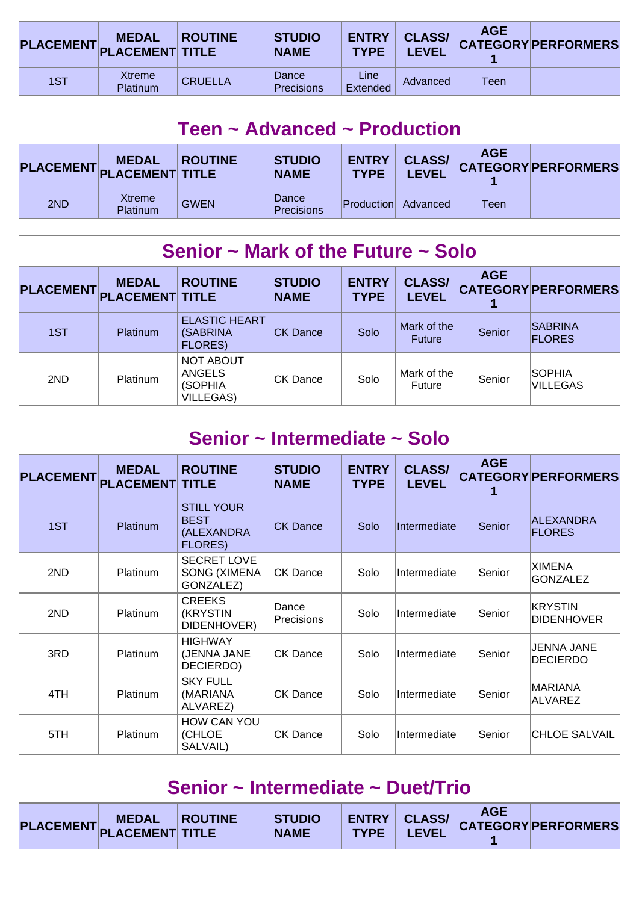|     | <b>MEDAL</b><br>PLACEMENT PLACEMENT TITLE | <b>ROUTINE</b> | <b>STUDIO</b><br><b>NAME</b> | <b>ENTRY</b><br><b>TYPE</b> | <b>CLASS/</b><br><b>LEVEL</b> | <b>AGE</b> | <b>CATEGORY PERFORMERS</b> |
|-----|-------------------------------------------|----------------|------------------------------|-----------------------------|-------------------------------|------------|----------------------------|
| 1ST | <b>Xtreme</b><br>Platinum                 | <b>CRUELLA</b> | Dance<br><b>Precisions</b>   | Line<br>Extended            | Advanced                      | Teen       |                            |

| Teen $\sim$ Advanced $\sim$ Production |                                           |                |                              |                             |                               |            |                            |  |  |
|----------------------------------------|-------------------------------------------|----------------|------------------------------|-----------------------------|-------------------------------|------------|----------------------------|--|--|
|                                        | <b>MEDAL</b><br>PLACEMENT PLACEMENT TITLE | <b>ROUTINE</b> | <b>STUDIO</b><br><b>NAME</b> | <b>ENTRY</b><br><b>TYPE</b> | <b>CLASS/</b><br><b>LEVEL</b> | <b>AGE</b> | <b>CATEGORY PERFORMERS</b> |  |  |
| 2ND                                    | Xtreme<br>Platinum                        | <b>GWEN</b>    | Dance<br>Precisions          | Production                  | Advanced                      | Teen       |                            |  |  |

| Senior $\sim$ Mark of the Future $\sim$ Solo |                                        |                                                                  |                              |                             |                               |            |                                 |  |  |  |
|----------------------------------------------|----------------------------------------|------------------------------------------------------------------|------------------------------|-----------------------------|-------------------------------|------------|---------------------------------|--|--|--|
| <b>PLACEMENT</b>                             | <b>MEDAL</b><br><b>PLACEMENT TITLE</b> | <b>ROUTINE</b>                                                   | <b>STUDIO</b><br><b>NAME</b> | <b>ENTRY</b><br><b>TYPE</b> | <b>CLASS/</b><br><b>LEVEL</b> | <b>AGE</b> | <b>CATEGORY PERFORMERS</b>      |  |  |  |
| 1ST                                          | Platinum                               | <b>ELASTIC HEART</b><br>(SABRINA)<br><b>FLORES)</b>              | <b>CK Dance</b>              | Solo                        | Mark of the<br><b>Future</b>  | Senior     | <b>SABRINA</b><br><b>FLORES</b> |  |  |  |
| 2ND                                          | Platinum                               | <b>NOT ABOUT</b><br><b>ANGELS</b><br>(SOPHIA<br><b>VILLEGAS)</b> | CK Dance                     | Solo                        | Mark of the<br>Future         | Senior     | SOPHIA<br><b>VILLEGAS</b>       |  |  |  |

| Senior ~ Intermediate ~ Solo |                                  |                                                                  |                              |                             |                               |            |                                  |  |  |  |
|------------------------------|----------------------------------|------------------------------------------------------------------|------------------------------|-----------------------------|-------------------------------|------------|----------------------------------|--|--|--|
| <b>PLACEMENT</b>             | <b>MEDAL</b><br><b>PLACEMENT</b> | <b>ROUTINE</b><br><b>TITLE</b>                                   | <b>STUDIO</b><br><b>NAME</b> | <b>ENTRY</b><br><b>TYPE</b> | <b>CLASS/</b><br><b>LEVEL</b> | <b>AGE</b> | <b>CATEGORY PERFORMERS</b>       |  |  |  |
| 1ST                          | Platinum                         | <b>STILL YOUR</b><br><b>BEST</b><br>(ALEXANDRA<br><b>FLORES)</b> | <b>CK Dance</b>              | Solo                        | Intermediate                  | Senior     | ALEXANDRA<br><b>FLORES</b>       |  |  |  |
| 2ND                          | Platinum                         | <b>SECRET LOVE</b><br><b>SONG (XIMENA</b><br>GONZALEZ)           | <b>CK Dance</b>              | Solo                        | Intermediate                  | Senior     | <b>XIMENA</b><br><b>GONZALEZ</b> |  |  |  |
| 2ND                          | Platinum                         | <b>CREEKS</b><br>(KRYSTIN<br>DIDENHOVER)                         | Dance<br>Precisions          | Solo                        | Intermediate                  | Senior     | KRYSTIN<br><b>DIDENHOVER</b>     |  |  |  |
| 3RD                          | Platinum                         | <b>HIGHWAY</b><br>(JENNA JANE<br>DECIERDO)                       | CK Dance                     | Solo                        | Intermediate                  | Senior     | JENNA JANE<br><b>DECIERDO</b>    |  |  |  |
| 4TH                          | Platinum                         | <b>SKY FULL</b><br>(MARIANA<br>ALVAREZ)                          | CK Dance                     | Solo                        | Intermediate                  | Senior     | <b>MARIANA</b><br><b>ALVAREZ</b> |  |  |  |
| 5TH                          | Platinum                         | <b>HOW CAN YOU</b><br>(CHLOE<br>SALVAIL)                         | <b>CK Dance</b>              | Solo                        | Intermediate                  | Senior     | <b>CHLOE SALVAIL</b>             |  |  |  |

| Senior ~ Intermediate ~ Duet/Trio |                         |  |                              |             |       |            |                                  |  |
|-----------------------------------|-------------------------|--|------------------------------|-------------|-------|------------|----------------------------------|--|
|                                   | PLACEMENT MEDAL ROUTINE |  | <b>STUDIO</b><br><b>NAME</b> | <b>TYPE</b> | LEVEL | <b>AGE</b> | ENTRY CLASS/ CATEGORY PERFORMERS |  |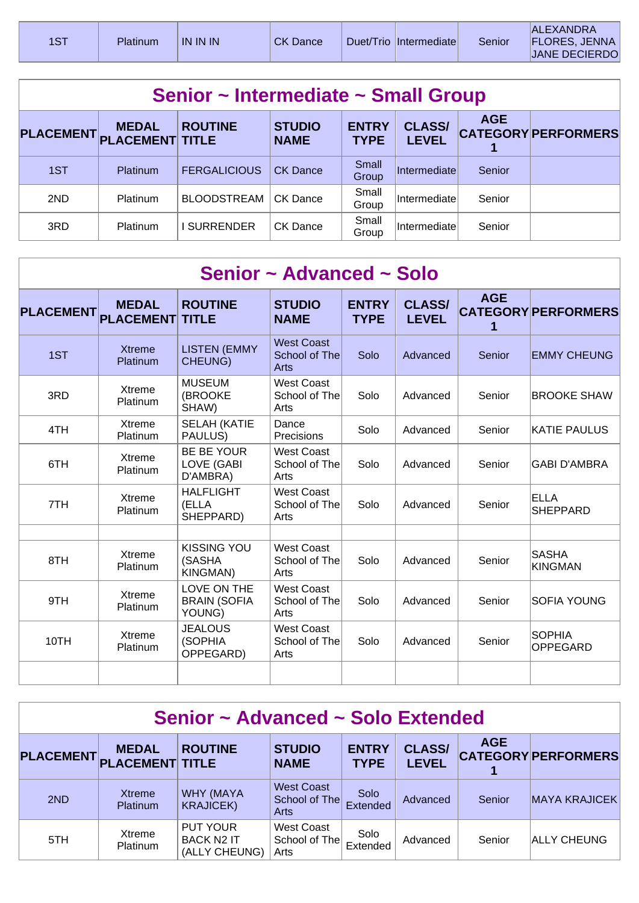| 1ST | Platinum | <b>IN IN IN</b> | <b>CK Dance</b> | Duet/Trio   Intermediate | Senior | <b>ALEXANDRA</b><br><b>FLORES, JENNA</b><br>JANE DECIERDO |  |
|-----|----------|-----------------|-----------------|--------------------------|--------|-----------------------------------------------------------|--|
|     |          |                 |                 |                          |        |                                                           |  |

| Senior ~ Intermediate ~ Small Group |                                        |                     |                              |                             |                               |            |                            |  |  |  |  |
|-------------------------------------|----------------------------------------|---------------------|------------------------------|-----------------------------|-------------------------------|------------|----------------------------|--|--|--|--|
| <b>PLACEMENT</b>                    | <b>MEDAL</b><br><b>PLACEMENT TITLE</b> | <b>ROUTINE</b>      | <b>STUDIO</b><br><b>NAME</b> | <b>ENTRY</b><br><b>TYPE</b> | <b>CLASS/</b><br><b>LEVEL</b> | <b>AGE</b> | <b>CATEGORY PERFORMERS</b> |  |  |  |  |
| 1ST                                 | <b>Platinum</b>                        | <b>FERGALICIOUS</b> | <b>CK Dance</b>              | Small<br>Group              | Intermediate                  | Senior     |                            |  |  |  |  |
| 2ND                                 | Platinum                               | <b>BLOODSTREAM</b>  | CK Dance                     | Small<br>Group              | Intermediate                  | Senior     |                            |  |  |  |  |
| 3RD                                 | Platinum                               | <b>SURRENDER</b>    | CK Dance                     | Small<br>Group              | Intermediate                  | Senior     |                            |  |  |  |  |

|                  | Senior ~ Advanced ~ Solo         |                                                 |                                                   |                             |                               |            |                                  |  |  |  |  |  |
|------------------|----------------------------------|-------------------------------------------------|---------------------------------------------------|-----------------------------|-------------------------------|------------|----------------------------------|--|--|--|--|--|
| <b>PLACEMENT</b> | <b>MEDAL</b><br><b>PLACEMENT</b> | <b>ROUTINE</b><br><b>TITLE</b>                  | <b>STUDIO</b><br><b>NAME</b>                      | <b>ENTRY</b><br><b>TYPE</b> | <b>CLASS/</b><br><b>LEVEL</b> | <b>AGE</b> | <b>CATEGORY PERFORMERS</b>       |  |  |  |  |  |
| 1ST              | <b>Xtreme</b><br>Platinum        | <b>LISTEN (EMMY</b><br><b>CHEUNG)</b>           | <b>West Coast</b><br>School of The<br><b>Arts</b> | Solo                        | Advanced                      | Senior     | <b>EMMY CHEUNG</b>               |  |  |  |  |  |
| 3RD              | Xtreme<br>Platinum               | <b>MUSEUM</b><br>(BROOKE<br>SHAW)               | <b>West Coast</b><br>School of The<br>Arts        | Solo                        | Advanced                      | Senior     | <b>BROOKE SHAW</b>               |  |  |  |  |  |
| 4TH              | Xtreme<br>Platinum               | <b>SELAH (KATIE</b><br>PAULUS)                  | Dance<br>Precisions                               | Solo                        | Advanced                      | Senior     | <b>KATIE PAULUS</b>              |  |  |  |  |  |
| 6TH              | Xtreme<br>Platinum               | <b>BE BE YOUR</b><br>LOVE (GABI<br>D'AMBRA)     | West Coast<br>School of The<br>Arts               | Solo                        | Advanced                      | Senior     | <b>GABI D'AMBRA</b>              |  |  |  |  |  |
| 7TH              | Xtreme<br>Platinum               | <b>HALFLIGHT</b><br>(ELLA<br>SHEPPARD)          | <b>West Coast</b><br>School of The<br>Arts        | Solo                        | Advanced                      | Senior     | <b>ELLA</b><br><b>SHEPPARD</b>   |  |  |  |  |  |
| 8TH              | Xtreme<br>Platinum               | <b>KISSING YOU</b><br>(SASHA<br><b>KINGMAN)</b> | <b>West Coast</b><br>School of The<br>Arts        | Solo                        | Advanced                      | Senior     | <b>SASHA</b><br><b>KINGMAN</b>   |  |  |  |  |  |
| 9TH              | Xtreme<br>Platinum               | LOVE ON THE<br><b>BRAIN (SOFIA</b><br>YOUNG)    | <b>West Coast</b><br>School of The<br>Arts        | Solo                        | Advanced                      | Senior     | <b>SOFIA YOUNG</b>               |  |  |  |  |  |
| 10TH             | <b>Xtreme</b><br>Platinum        | <b>JEALOUS</b><br>(SOPHIA<br>OPPEGARD)          | <b>West Coast</b><br>School of The<br>Arts        | Solo                        | Advanced                      | Senior     | <b>SOPHIA</b><br><b>OPPEGARD</b> |  |  |  |  |  |
|                  |                                  |                                                 |                                                   |                             |                               |            |                                  |  |  |  |  |  |

| Senior ~ Advanced ~ Solo Extended |                                        |                                                       |                                            |                             |                               |            |                            |  |  |
|-----------------------------------|----------------------------------------|-------------------------------------------------------|--------------------------------------------|-----------------------------|-------------------------------|------------|----------------------------|--|--|
| <b>PLACEMENT</b>                  | <b>MEDAL</b><br><b>PLACEMENT TITLE</b> | <b>ROUTINE</b>                                        | <b>STUDIO</b><br><b>NAME</b>               | <b>ENTRY</b><br><b>TYPE</b> | <b>CLASS/</b><br><b>LEVEL</b> | <b>AGE</b> | <b>CATEGORY PERFORMERS</b> |  |  |
| 2ND                               | Xtreme<br><b>Platinum</b>              | <b>WHY (MAYA</b><br><b>KRAJICEK)</b>                  | <b>West Coast</b><br>School of The<br>Arts | Solo<br>Extended            | Advanced                      | Senior     | <b>MAYA KRAJICEK</b>       |  |  |
| 5TH                               | Xtreme<br><b>Platinum</b>              | <b>PUT YOUR</b><br><b>BACK N2 IT</b><br>(ALLY CHEUNG) | <b>West Coast</b><br>School of The<br>Arts | Solo<br>Extended            | Advanced                      | Senior     | ALLY CHEUNG                |  |  |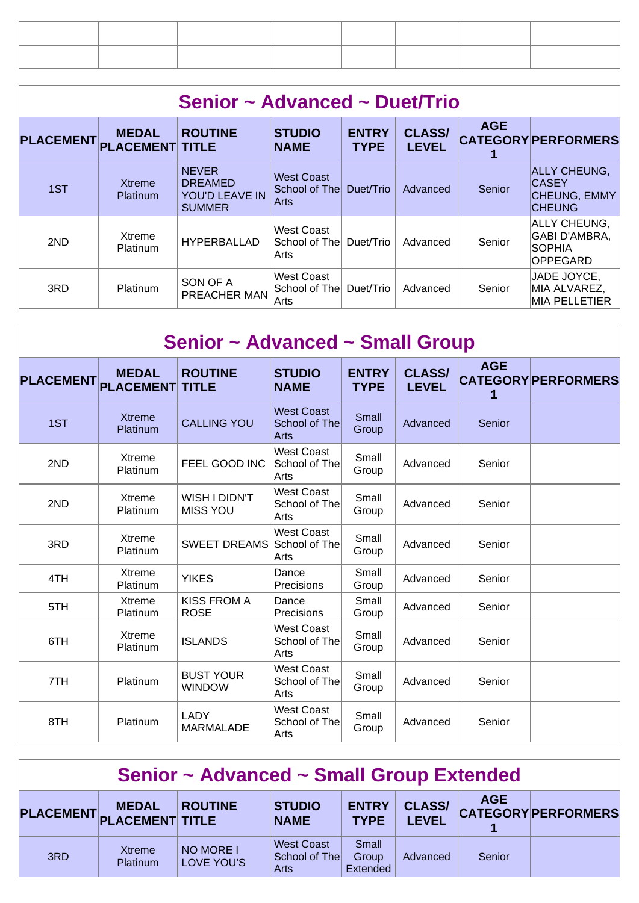| Senior ~ Advanced ~ Duet/Trio |                                        |                                                                   |                                            |                             |                               |            |                                                                          |  |  |  |
|-------------------------------|----------------------------------------|-------------------------------------------------------------------|--------------------------------------------|-----------------------------|-------------------------------|------------|--------------------------------------------------------------------------|--|--|--|
| <b>PLACEMENT</b>              | <b>MEDAL</b><br><b>PLACEMENT TITLE</b> | <b>ROUTINE</b>                                                    | <b>STUDIO</b><br><b>NAME</b>               | <b>ENTRY</b><br><b>TYPE</b> | <b>CLASS/</b><br><b>LEVEL</b> | <b>AGE</b> | <b>CATEGORY PERFORMERS</b>                                               |  |  |  |
| 1ST                           | <b>Xtreme</b><br><b>Platinum</b>       | <b>NEVER</b><br><b>DREAMED</b><br>YOU'D LEAVE IN<br><b>SUMMER</b> | <b>West Coast</b><br>School of The<br>Arts | Duet/Trio                   | Advanced                      | Senior     | <b>ALLY CHEUNG,</b><br><b>CASEY</b><br>CHEUNG, EMMY<br><b>CHEUNG</b>     |  |  |  |
| 2ND                           | Xtreme<br><b>Platinum</b>              | HYPERBALLAD                                                       | West Coast<br>School of The<br>Arts        | Duet/Trio                   | Advanced                      | Senior     | ALLY CHEUNG.<br><b>GABI D'AMBRA,</b><br><b>SOPHIA</b><br><b>OPPEGARD</b> |  |  |  |
| 3RD                           | Platinum                               | SON OF A<br>PREACHER MAN                                          | <b>West Coast</b><br>School of The<br>Arts | Duet/Trio                   | Advanced                      | Senior     | JADE JOYCE,<br>MIA ALVAREZ,<br><b>MIA PELLETIER</b>                      |  |  |  |

|                  |                                  | <b>Senior ~ Advanced ~ Small Group</b> |                                            |                             |                               |            |                            |
|------------------|----------------------------------|----------------------------------------|--------------------------------------------|-----------------------------|-------------------------------|------------|----------------------------|
| <b>PLACEMENT</b> | <b>MEDAL</b><br><b>PLACEMENT</b> | <b>ROUTINE</b><br><b>TITLE</b>         | <b>STUDIO</b><br><b>NAME</b>               | <b>ENTRY</b><br><b>TYPE</b> | <b>CLASS/</b><br><b>LEVEL</b> | <b>AGE</b> | <b>CATEGORY PERFORMERS</b> |
| 1ST              | <b>Xtreme</b><br>Platinum        | <b>CALLING YOU</b>                     | <b>West Coast</b><br>School of The<br>Arts | Small<br>Group              | Advanced                      | Senior     |                            |
| 2ND              | <b>Xtreme</b><br>Platinum        | FEEL GOOD INC                          | <b>West Coast</b><br>School of The<br>Arts | Small<br>Group              | Advanced                      | Senior     |                            |
| 2ND              | Xtreme<br>Platinum               | WISH I DIDN'T<br><b>MISS YOU</b>       | <b>West Coast</b><br>School of The<br>Arts | Small<br>Group              | Advanced                      | Senior     |                            |
| 3RD              | Xtreme<br>Platinum               | <b>SWEET DREAMS</b>                    | <b>West Coast</b><br>School of The<br>Arts | Small<br>Group              | Advanced                      | Senior     |                            |
| 4TH              | Xtreme<br>Platinum               | <b>YIKES</b>                           | Dance<br>Precisions                        | Small<br>Group              | Advanced                      | Senior     |                            |
| 5TH              | Xtreme<br>Platinum               | <b>KISS FROM A</b><br><b>ROSE</b>      | Dance<br>Precisions                        | Small<br>Group              | Advanced                      | Senior     |                            |
| 6TH              | Xtreme<br>Platinum               | <b>ISLANDS</b>                         | <b>West Coast</b><br>School of The<br>Arts | Small<br>Group              | Advanced                      | Senior     |                            |
| 7TH              | Platinum                         | <b>BUST YOUR</b><br><b>WINDOW</b>      | <b>West Coast</b><br>School of The<br>Arts | Small<br>Group              | Advanced                      | Senior     |                            |
| 8TH              | Platinum                         | <b>LADY</b><br><b>MARMALADE</b>        | <b>West Coast</b><br>School of The<br>Arts | Small<br>Group              | Advanced                      | Senior     |                            |

| Senior ~ Advanced ~ Small Group Extended |                                           |                         |                                            |                             |                               |            |                            |  |  |
|------------------------------------------|-------------------------------------------|-------------------------|--------------------------------------------|-----------------------------|-------------------------------|------------|----------------------------|--|--|
|                                          | <b>MEDAL</b><br>PLACEMENT PLACEMENT TITLE | <b>ROUTINE</b>          | <b>STUDIO</b><br><b>NAME</b>               | <b>ENTRY</b><br><b>TYPE</b> | <b>CLASS/</b><br><b>LEVEL</b> | <b>AGE</b> | <b>CATEGORY PERFORMERS</b> |  |  |
| 3RD                                      | Xtreme<br>Platinum                        | NO MORE I<br>LOVE YOU'S | <b>West Coast</b><br>School of The<br>Arts | Small<br>Group<br>Extended  | Advanced                      | Senior     |                            |  |  |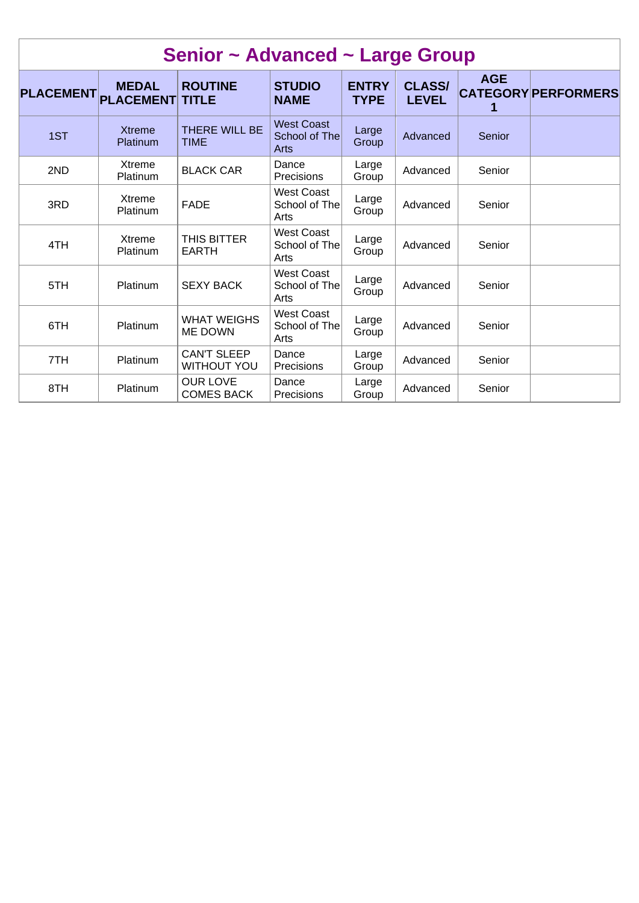|                  |                                  | Senior ~ Advanced ~ Large Group          |                                            |                             |                               |            |                            |
|------------------|----------------------------------|------------------------------------------|--------------------------------------------|-----------------------------|-------------------------------|------------|----------------------------|
| <b>PLACEMENT</b> | <b>MEDAL</b><br><b>PLACEMENT</b> | <b>ROUTINE</b><br><b>TITLE</b>           | <b>STUDIO</b><br><b>NAME</b>               | <b>ENTRY</b><br><b>TYPE</b> | <b>CLASS/</b><br><b>LEVEL</b> | <b>AGE</b> | <b>CATEGORY PERFORMERS</b> |
| 1ST              | <b>Xtreme</b><br>Platinum        | THERE WILL BE<br><b>TIME</b>             | <b>West Coast</b><br>School of The<br>Arts | Large<br>Group              | Advanced                      | Senior     |                            |
| 2ND              | Xtreme<br>Platinum               | <b>BLACK CAR</b>                         | Dance<br>Precisions                        | Large<br>Group              | Advanced                      | Senior     |                            |
| 3RD              | Xtreme<br>Platinum               | <b>FADE</b>                              | <b>West Coast</b><br>School of The<br>Arts | Large<br>Group              | Advanced                      | Senior     |                            |
| 4TH              | Xtreme<br>Platinum               | THIS BITTER<br><b>EARTH</b>              | <b>West Coast</b><br>School of The<br>Arts | Large<br>Group              | Advanced                      | Senior     |                            |
| 5TH              | Platinum                         | <b>SEXY BACK</b>                         | <b>West Coast</b><br>School of The<br>Arts | Large<br>Group              | Advanced                      | Senior     |                            |
| 6TH              | Platinum                         | <b>WHAT WEIGHS</b><br><b>ME DOWN</b>     | <b>West Coast</b><br>School of The<br>Arts | Large<br>Group              | Advanced                      | Senior     |                            |
| 7TH              | Platinum                         | <b>CAN'T SLEEP</b><br><b>WITHOUT YOU</b> | Dance<br>Precisions                        | Large<br>Group              | Advanced                      | Senior     |                            |
| 8TH              | Platinum                         | <b>OUR LOVE</b><br><b>COMES BACK</b>     | Dance<br><b>Precisions</b>                 | Large<br>Group              | Advanced                      | Senior     |                            |